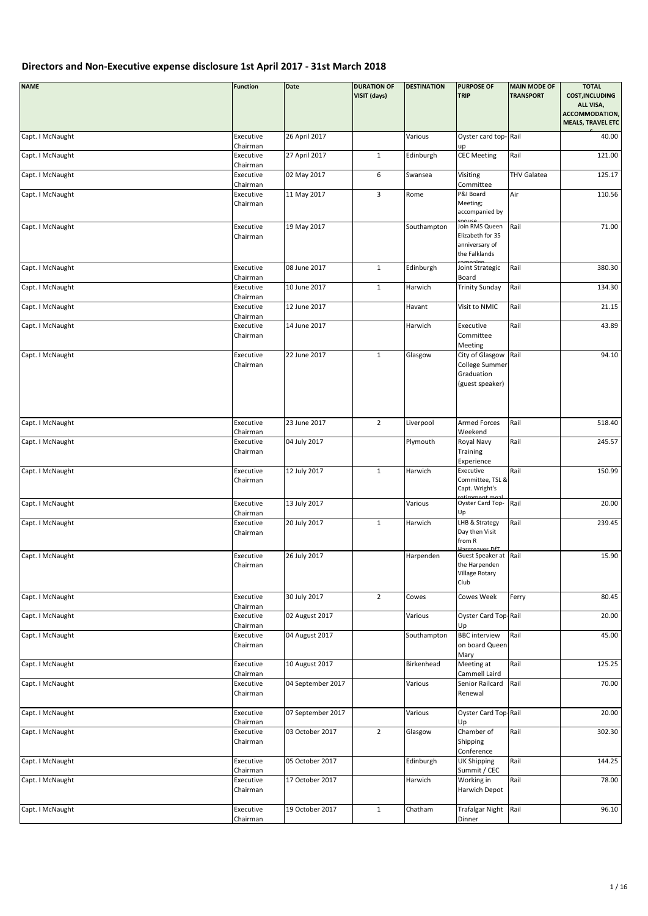| <b>NAME</b>      | <b>Function</b>                   | Date              | <b>DURATION OF</b><br>VISIT (days) | <b>DESTINATION</b> | <b>PURPOSE OF</b><br><b>TRIP</b>                                                          | <b>MAIN MODE OF</b><br><b>TRANSPORT</b> | <b>TOTAL</b><br><b>COST, INCLUDING</b><br>ALL VISA,<br>ACCOMMODATION, |
|------------------|-----------------------------------|-------------------|------------------------------------|--------------------|-------------------------------------------------------------------------------------------|-----------------------------------------|-----------------------------------------------------------------------|
|                  |                                   |                   |                                    |                    |                                                                                           |                                         | <b>MEALS, TRAVEL ETC</b>                                              |
| Capt. I McNaught | Executive<br>Chairman             | 26 April 2017     |                                    | Various            | Oyster card top-Rail<br>up                                                                |                                         | 40.00                                                                 |
| Capt. I McNaught | Executive<br>Chairman             | 27 April 2017     | $\mathbf{1}$                       | Edinburgh          | <b>CEC Meeting</b>                                                                        | Rail                                    | 121.00                                                                |
| Capt. I McNaught | Executive                         | 02 May 2017       | $\,6\,$                            | Swansea            | Visiting                                                                                  | <b>THV Galatea</b>                      | 125.17                                                                |
| Capt. I McNaught | Chairman<br>Executive             | 11 May 2017       | 3                                  | Rome               | Committee<br>P&I Board                                                                    | Air                                     | 110.56                                                                |
|                  | Chairman                          |                   |                                    |                    | Meeting;<br>accompanied by                                                                |                                         |                                                                       |
| Capt. I McNaught | Executive                         | 19 May 2017       |                                    | Southampton        | Join RMS Queen                                                                            | Rail                                    | 71.00                                                                 |
|                  | Chairman                          |                   |                                    |                    | Elizabeth for 35<br>anniversary of<br>the Falklands                                       |                                         |                                                                       |
| Capt. I McNaught | Executive                         | 08 June 2017      | $\mathbf 1$                        | Edinburgh          | Joint Strategic                                                                           | Rail                                    | 380.30                                                                |
| Capt. I McNaught | Chairman<br>Executive             | 10 June 2017      | $\mathbf{1}$                       | Harwich            | Board<br><b>Trinity Sunday</b>                                                            | Rail                                    | 134.30                                                                |
|                  | Chairman                          |                   |                                    |                    |                                                                                           |                                         |                                                                       |
| Capt. I McNaught | Executive<br>Chairman             | 12 June 2017      |                                    | Havant             | Visit to NMIC                                                                             | Rail                                    | 21.15                                                                 |
| Capt. I McNaught | Executive                         | 14 June 2017      |                                    | Harwich            | Executive                                                                                 | Rail                                    | 43.89                                                                 |
|                  | Chairman                          |                   |                                    |                    | Committee<br>Meeting                                                                      |                                         |                                                                       |
| Capt. I McNaught | Executive<br>Chairman             | 22 June 2017      | $\mathbf{1}$                       | Glasgow            | City of Glasgow<br>College Summer<br>Graduation<br>(guest speaker)                        | Rail                                    | 94.10                                                                 |
| Capt. I McNaught | Executive                         | 23 June 2017      | $\overline{2}$                     | Liverpool          | <b>Armed Forces</b>                                                                       | Rail                                    | 518.40                                                                |
|                  | Chairman                          |                   |                                    |                    | Weekend                                                                                   |                                         |                                                                       |
| Capt. I McNaught | Executive<br>Chairman             | 04 July 2017      |                                    | Plymouth           | Royal Navy<br>Training<br>Experience                                                      | Rail                                    | 245.57                                                                |
| Capt. I McNaught | Executive<br>Chairman             | 12 July 2017      | $\mathbf{1}$                       | Harwich            | Executive<br>Committee, TSL &<br>Capt. Wright's                                           | Rail                                    | 150.99                                                                |
| Capt. I McNaught | Executive<br>Chairman             | 13 July 2017      |                                    | Various            | Oyster Card Top-<br>Up                                                                    | Rail                                    | 20.00                                                                 |
| Capt. I McNaught | Executive<br>Chairman             | 20 July 2017      | $\mathbf{1}$                       | Harwich            | LHB & Strategy<br>Day then Visit<br>from R                                                | Rail                                    | 239.45                                                                |
| Capt. I McNaught | Executive<br>Chairman             | 26 July 2017      |                                    | Harpenden          | <b>Jargreaves DfT</b><br>Guest Speaker at Rail<br>the Harpenden<br>Village Rotary<br>Club |                                         | 15.90                                                                 |
| Capt. I McNaught | Executive<br>Chairman             | 30 July 2017      | $\overline{2}$                     | Cowes              | Cowes Week                                                                                | Ferry                                   | 80.45                                                                 |
| Capt. I McNaught | Executive<br>Chairman             | 02 August 2017    |                                    | Various            | Oyster Card Top-Rail<br>Up                                                                |                                         | 20.00                                                                 |
| Capt. I McNaught | Executive<br>Chairman             | 04 August 2017    |                                    | Southampton        | <b>BBC</b> interview<br>on board Queen<br>Mary                                            | Rail                                    | 45.00                                                                 |
| Capt. I McNaught | Executive                         | 10 August 2017    |                                    | Birkenhead         | Meeting at                                                                                | Rail                                    | 125.25                                                                |
| Capt. I McNaught | Chairman<br>Executive<br>Chairman | 04 September 2017 |                                    | Various            | Cammell Laird<br>Senior Railcard<br>Renewal                                               | Rail                                    | 70.00                                                                 |
| Capt. I McNaught | Executive<br>Chairman             | 07 September 2017 |                                    | Various            | Oyster Card Top-Rail<br>Up                                                                |                                         | 20.00                                                                 |
| Capt. I McNaught | Executive<br>Chairman             | 03 October 2017   | $\overline{2}$                     | Glasgow            | Chamber of<br>Shipping<br>Conference                                                      | Rail                                    | 302.30                                                                |
| Capt. I McNaught | Executive<br>Chairman             | 05 October 2017   |                                    | Edinburgh          | <b>UK Shipping</b><br>Summit / CEC                                                        | Rail                                    | 144.25                                                                |
| Capt. I McNaught | Executive<br>Chairman             | 17 October 2017   |                                    | Harwich            | Working in<br>Harwich Depot                                                               | Rail                                    | 78.00                                                                 |
| Capt. I McNaught | Executive                         | 19 October 2017   | $\mathbf 1$                        | Chatham            | <b>Trafalgar Night</b>                                                                    | Rail                                    | 96.10                                                                 |
|                  | Chairman                          |                   |                                    |                    | Dinner                                                                                    |                                         |                                                                       |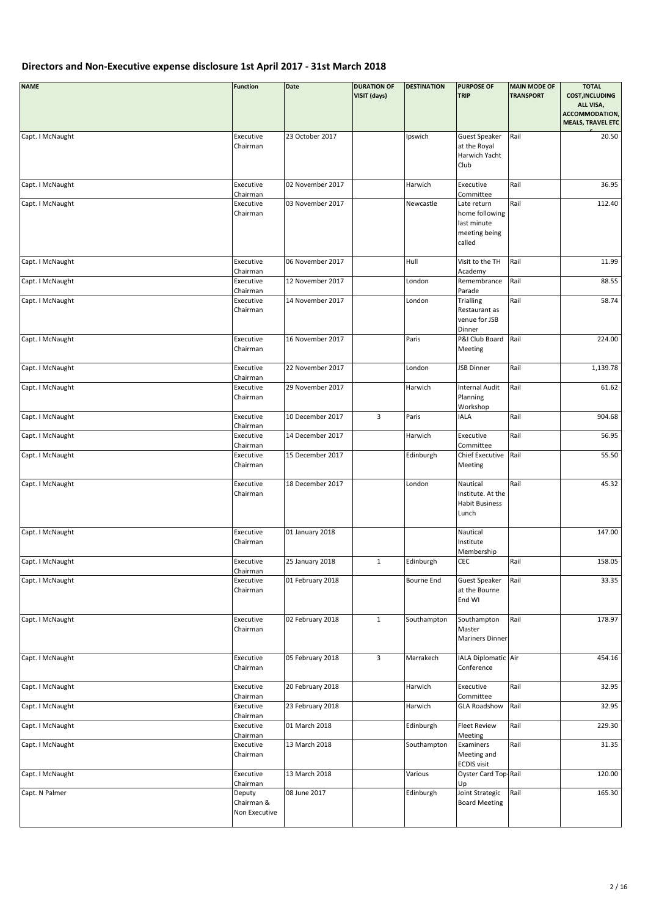| <b>NAME</b>      | <b>Function</b>                       | Date             | <b>DURATION OF</b><br>VISIT (days) | <b>DESTINATION</b> | <b>PURPOSE OF</b><br><b>TRIP</b>                                        | <b>MAIN MODE OF</b><br><b>TRANSPORT</b> | <b>TOTAL</b><br><b>COST, INCLUDING</b><br>ALL VISA,<br>ACCOMMODATION,<br><b>MEALS, TRAVEL ETC</b> |
|------------------|---------------------------------------|------------------|------------------------------------|--------------------|-------------------------------------------------------------------------|-----------------------------------------|---------------------------------------------------------------------------------------------------|
| Capt. I McNaught | Executive<br>Chairman                 | 23 October 2017  |                                    | Ipswich            | <b>Guest Speaker</b><br>at the Royal<br>Harwich Yacht<br>Club           | Rail                                    | 20.50                                                                                             |
| Capt. I McNaught | Executive<br>Chairman                 | 02 November 2017 |                                    | Harwich            | Executive<br>Committee                                                  | Rail                                    | 36.95                                                                                             |
| Capt. I McNaught | Executive<br>Chairman                 | 03 November 2017 |                                    | Newcastle          | Late return<br>home following<br>last minute<br>meeting being<br>called | Rail                                    | 112.40                                                                                            |
| Capt. I McNaught | Executive<br>Chairman                 | 06 November 2017 |                                    | Hull               | Visit to the TH<br>Academy                                              | Rail                                    | 11.99                                                                                             |
| Capt. I McNaught | Executive                             | 12 November 2017 |                                    | London             | Remembrance                                                             | Rail                                    | 88.55                                                                                             |
| Capt. I McNaught | Chairman<br>Executive<br>Chairman     | 14 November 2017 |                                    | London             | Parade<br><b>Trialling</b><br>Restaurant as<br>venue for JSB<br>Dinner  | Rail                                    | 58.74                                                                                             |
| Capt. I McNaught | Executive<br>Chairman                 | 16 November 2017 |                                    | Paris              | P&I Club Board<br>Meeting                                               | Rail                                    | 224.00                                                                                            |
| Capt. I McNaught | Executive<br>Chairman                 | 22 November 2017 |                                    | London             | JSB Dinner                                                              | Rail                                    | 1,139.78                                                                                          |
| Capt. I McNaught | Executive<br>Chairman                 | 29 November 2017 |                                    | Harwich            | <b>Internal Audit</b><br>Planning<br>Workshop                           | Rail                                    | 61.62                                                                                             |
| Capt. I McNaught | Executive<br>Chairman                 | 10 December 2017 | $\mathbf{3}$                       | Paris              | <b>IALA</b>                                                             | Rail                                    | 904.68                                                                                            |
| Capt. I McNaught | Executive<br>Chairman                 | 14 December 2017 |                                    | Harwich            | Executive<br>Committee                                                  | Rail                                    | 56.95                                                                                             |
| Capt. I McNaught | Executive<br>Chairman                 | 15 December 2017 |                                    | Edinburgh          | Chief Executive<br>Meeting                                              | Rail                                    | 55.50                                                                                             |
| Capt. I McNaught | Executive<br>Chairman                 | 18 December 2017 |                                    | London             | Nautical<br>Institute. At the<br><b>Habit Business</b><br>Lunch         | Rail                                    | 45.32                                                                                             |
| Capt. I McNaught | Executive<br>Chairman                 | 01 January 2018  |                                    |                    | Nautical<br>Institute<br>Membership                                     |                                         | 147.00                                                                                            |
| Capt. I McNaught | Executive<br>Chairman                 | 25 January 2018  | $\mathbf{1}$                       | Edinburgh          | CEC                                                                     | Rail                                    | 158.05                                                                                            |
| Capt. I McNaught | Executive<br>Chairman                 | 01 February 2018 |                                    | Bourne End         | <b>Guest Speaker</b><br>at the Bourne<br>End WI                         | Rail                                    | 33.35                                                                                             |
| Capt. I McNaught | Executive<br>Chairman                 | 02 February 2018 | $\mathbf{1}$                       | Southampton        | Southampton<br>Master<br><b>Mariners Dinner</b>                         | Rail                                    | 178.97                                                                                            |
| Capt. I McNaught | Executive<br>Chairman                 | 05 February 2018 | $\mathbf{3}$                       | Marrakech          | IALA Diplomatic Air<br>Conference                                       |                                         | 454.16                                                                                            |
| Capt. I McNaught | Executive<br>Chairman                 | 20 February 2018 |                                    | Harwich            | Executive<br>Committee                                                  | Rail                                    | 32.95                                                                                             |
| Capt. I McNaught | Executive<br>Chairman                 | 23 February 2018 |                                    | Harwich            | <b>GLA Roadshow</b>                                                     | Rail                                    | 32.95                                                                                             |
| Capt. I McNaught | Executive                             | 01 March 2018    |                                    | Edinburgh          | <b>Fleet Review</b>                                                     | Rail                                    | 229.30                                                                                            |
| Capt. I McNaught | Chairman<br>Executive<br>Chairman     | 13 March 2018    |                                    | Southampton        | Meeting<br>Examiners<br>Meeting and<br><b>ECDIS visit</b>               | Rail                                    | 31.35                                                                                             |
| Capt. I McNaught | Executive<br>Chairman                 | 13 March 2018    |                                    | Various            | Oyster Card Top-Rail<br>Up                                              |                                         | 120.00                                                                                            |
| Capt. N Palmer   | Deputy<br>Chairman &<br>Non Executive | 08 June 2017     |                                    | Edinburgh          | Joint Strategic<br><b>Board Meeting</b>                                 | Rail                                    | 165.30                                                                                            |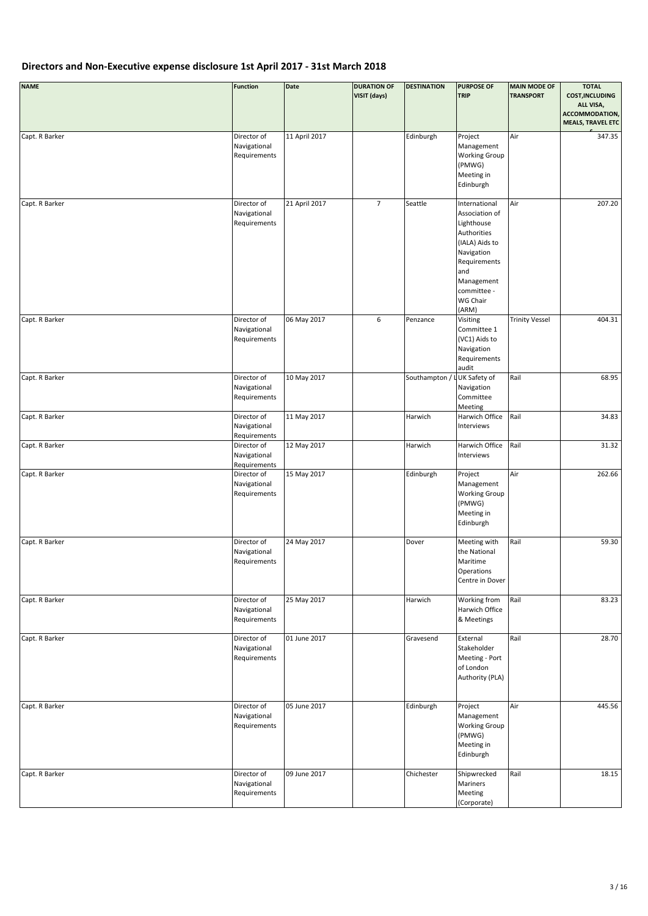| <b>NAME</b>    | <b>Function</b>                             | Date          | <b>DURATION OF</b><br>VISIT (days) | <b>DESTINATION</b> | <b>PURPOSE OF</b><br><b>TRIP</b>                                                                                                                                      | <b>MAIN MODE OF</b><br><b>TRANSPORT</b> | <b>TOTAL</b><br><b>COST, INCLUDING</b><br>ALL VISA,<br>ACCOMMODATION,<br><b>MEALS, TRAVEL ETC</b> |
|----------------|---------------------------------------------|---------------|------------------------------------|--------------------|-----------------------------------------------------------------------------------------------------------------------------------------------------------------------|-----------------------------------------|---------------------------------------------------------------------------------------------------|
| Capt. R Barker | Director of<br>Navigational<br>Requirements | 11 April 2017 |                                    | Edinburgh          | Project<br>Management<br><b>Working Group</b><br>(PMWG)<br>Meeting in<br>Edinburgh                                                                                    | Air                                     | 347.35                                                                                            |
| Capt. R Barker | Director of<br>Navigational<br>Requirements | 21 April 2017 | $\overline{7}$                     | Seattle            | International<br>Association of<br>Lighthouse<br>Authorities<br>(IALA) Aids to<br>Navigation<br>Requirements<br>and<br>Management<br>committee -<br>WG Chair<br>(ARM) | Air                                     | 207.20                                                                                            |
| Capt. R Barker | Director of<br>Navigational<br>Requirements | 06 May 2017   | 6                                  | Penzance           | Visiting<br>Committee 1<br>(VC1) Aids to<br>Navigation<br>Requirements<br>audit                                                                                       | <b>Trinity Vessel</b>                   | 404.31                                                                                            |
| Capt. R Barker | Director of<br>Navigational<br>Requirements | 10 May 2017   |                                    | Southampton / I    | UK Safety of<br>Navigation<br>Committee<br>Meeting                                                                                                                    | Rail                                    | 68.95                                                                                             |
| Capt. R Barker | Director of<br>Navigational<br>Requirements | 11 May 2017   |                                    | Harwich            | Harwich Office<br>Interviews                                                                                                                                          | Rail                                    | 34.83                                                                                             |
| Capt. R Barker | Director of<br>Navigational<br>Requirements | 12 May 2017   |                                    | Harwich            | Harwich Office<br>Interviews                                                                                                                                          | Rail                                    | 31.32                                                                                             |
| Capt. R Barker | Director of<br>Navigational<br>Requirements | 15 May 2017   |                                    | Edinburgh          | Project<br>Management<br><b>Working Group</b><br>(PMWG)<br>Meeting in<br>Edinburgh                                                                                    | Air                                     | 262.66                                                                                            |
| Capt. R Barker | Director of<br>Navigational<br>Requirements | 24 May 2017   |                                    | Dover              | Meeting with<br>the National<br>Maritime<br>Operations<br>Centre in Dover                                                                                             | Rail                                    | 59.30                                                                                             |
| Capt. R Barker | Director of<br>Navigational<br>Requirements | 25 May 2017   |                                    | Harwich            | Working from<br>Harwich Office<br>& Meetings                                                                                                                          | Rail                                    | 83.23                                                                                             |
| Capt. R Barker | Director of<br>Navigational<br>Requirements | 01 June 2017  |                                    | Gravesend          | External<br>Stakeholder<br>Meeting - Port<br>of London<br>Authority (PLA)                                                                                             | Rail                                    | 28.70                                                                                             |
| Capt. R Barker | Director of<br>Navigational<br>Requirements | 05 June 2017  |                                    | Edinburgh          | Project<br>Management<br><b>Working Group</b><br>(PMWG)<br>Meeting in<br>Edinburgh                                                                                    | Air                                     | 445.56                                                                                            |
| Capt. R Barker | Director of<br>Navigational<br>Requirements | 09 June 2017  |                                    | Chichester         | Shipwrecked<br>Mariners<br>Meeting<br>(Corporate)                                                                                                                     | Rail                                    | 18.15                                                                                             |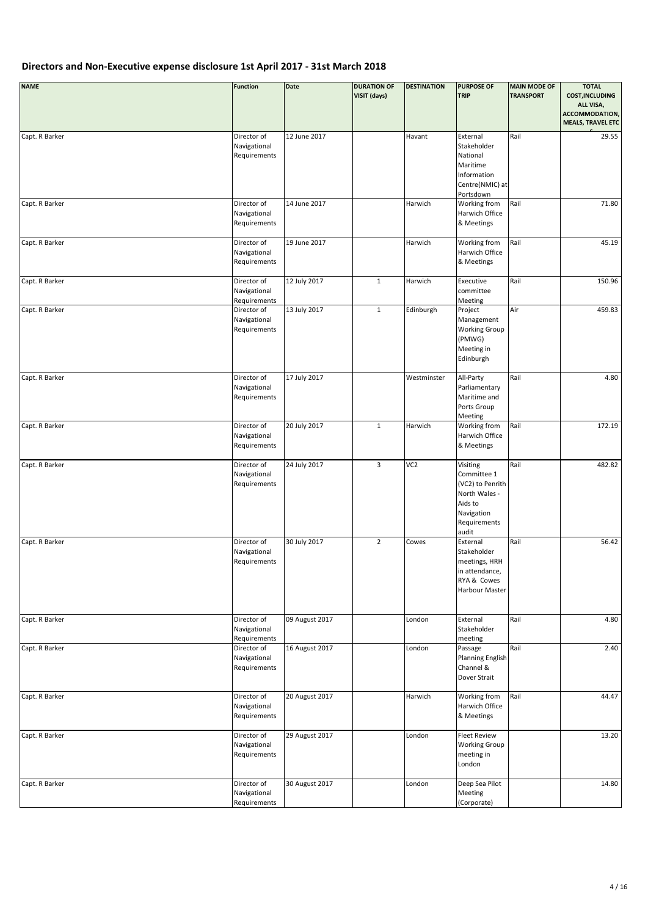| <b>NAME</b>    | <b>Function</b>                             | Date           | <b>DURATION OF</b><br>VISIT (days) | <b>DESTINATION</b> | <b>PURPOSE OF</b><br><b>TRIP</b>                                                                               | <b>MAIN MODE OF</b><br><b>TRANSPORT</b> | <b>TOTAL</b><br><b>COST, INCLUDING</b><br>ALL VISA,<br>ACCOMMODATION,<br><b>MEALS, TRAVEL ETC</b> |
|----------------|---------------------------------------------|----------------|------------------------------------|--------------------|----------------------------------------------------------------------------------------------------------------|-----------------------------------------|---------------------------------------------------------------------------------------------------|
| Capt. R Barker | Director of<br>Navigational<br>Requirements | 12 June 2017   |                                    | Havant             | External<br>Stakeholder<br>National<br>Maritime<br>Information<br>Centre(NMIC) at<br>Portsdown                 | Rail                                    | 29.55                                                                                             |
| Capt. R Barker | Director of<br>Navigational<br>Requirements | 14 June 2017   |                                    | Harwich            | Working from<br>Harwich Office<br>& Meetings                                                                   | Rail                                    | 71.80                                                                                             |
| Capt. R Barker | Director of<br>Navigational<br>Requirements | 19 June 2017   |                                    | Harwich            | Working from<br>Harwich Office<br>& Meetings                                                                   | Rail                                    | 45.19                                                                                             |
| Capt. R Barker | Director of<br>Navigational<br>Requirements | 12 July 2017   | $\mathbf{1}$                       | Harwich            | Executive<br>committee<br>Meeting                                                                              | Rail                                    | 150.96                                                                                            |
| Capt. R Barker | Director of<br>Navigational<br>Requirements | 13 July 2017   | $\mathbf 1$                        | Edinburgh          | Project<br>Management<br><b>Working Group</b><br>(PMWG)<br>Meeting in<br>Edinburgh                             | Air                                     | 459.83                                                                                            |
| Capt. R Barker | Director of<br>Navigational<br>Requirements | 17 July 2017   |                                    | Westminster        | All-Party<br>Parliamentary<br>Maritime and<br>Ports Group<br>Meeting                                           | Rail                                    | 4.80                                                                                              |
| Capt. R Barker | Director of<br>Navigational<br>Requirements | 20 July 2017   | $\mathbf 1$                        | Harwich            | Working from<br>Harwich Office<br>& Meetings                                                                   | Rail                                    | 172.19                                                                                            |
| Capt. R Barker | Director of<br>Navigational<br>Requirements | 24 July 2017   | 3                                  | VC <sub>2</sub>    | Visiting<br>Committee 1<br>(VC2) to Penrith<br>North Wales -<br>Aids to<br>Navigation<br>Requirements<br>audit | Rail                                    | 482.82                                                                                            |
| Capt. R Barker | Director of<br>Navigational<br>Requirements | 30 July 2017   | $\overline{2}$                     | Cowes              | External<br>Stakeholder<br>meetings, HRH<br>in attendance,<br>RYA & Cowes<br>Harbour Master                    | Rail                                    | 56.42                                                                                             |
| Capt. R Barker | Director of<br>Navigational<br>Requirements | 09 August 2017 |                                    | London             | External<br>Stakeholder<br>meeting                                                                             | Rail                                    | 4.80                                                                                              |
| Capt. R Barker | Director of<br>Navigational<br>Requirements | 16 August 2017 |                                    | London             | Passage<br><b>Planning English</b><br>Channel &<br>Dover Strait                                                | Rail                                    | 2.40                                                                                              |
| Capt. R Barker | Director of<br>Navigational<br>Requirements | 20 August 2017 |                                    | Harwich            | Working from<br>Harwich Office<br>& Meetings                                                                   | Rail                                    | 44.47                                                                                             |
| Capt. R Barker | Director of<br>Navigational<br>Requirements | 29 August 2017 |                                    | London             | <b>Fleet Review</b><br><b>Working Group</b><br>meeting in<br>London                                            |                                         | 13.20                                                                                             |
| Capt. R Barker | Director of<br>Navigational<br>Requirements | 30 August 2017 |                                    | London             | Deep Sea Pilot<br>Meeting<br>(Corporate)                                                                       |                                         | 14.80                                                                                             |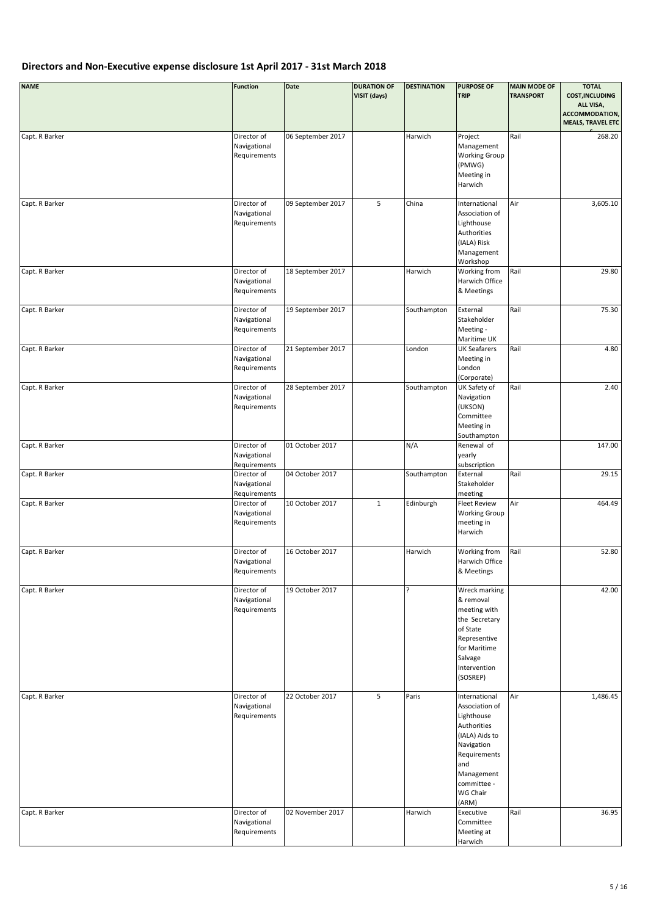| <b>NAME</b>    | <b>Function</b>                             | Date              | <b>DURATION OF</b><br>VISIT (days) | <b>DESTINATION</b> | <b>PURPOSE OF</b><br><b>TRIP</b>                                                                                                                                      | <b>MAIN MODE OF</b><br><b>TRANSPORT</b> | <b>TOTAL</b><br><b>COST, INCLUDING</b><br>ALL VISA,<br>ACCOMMODATION,<br><b>MEALS, TRAVEL ETC</b> |
|----------------|---------------------------------------------|-------------------|------------------------------------|--------------------|-----------------------------------------------------------------------------------------------------------------------------------------------------------------------|-----------------------------------------|---------------------------------------------------------------------------------------------------|
| Capt. R Barker | Director of<br>Navigational<br>Requirements | 06 September 2017 |                                    | Harwich            | Project<br>Management<br><b>Working Group</b><br>(PMWG)<br>Meeting in<br>Harwich                                                                                      | Rail                                    | 268.20                                                                                            |
| Capt. R Barker | Director of<br>Navigational<br>Requirements | 09 September 2017 | 5                                  | China              | International<br>Association of<br>Lighthouse<br>Authorities<br>(IALA) Risk<br>Management<br>Workshop                                                                 | Air                                     | 3,605.10                                                                                          |
| Capt. R Barker | Director of<br>Navigational<br>Requirements | 18 September 2017 |                                    | Harwich            | Working from<br>Harwich Office<br>& Meetings                                                                                                                          | Rail                                    | 29.80                                                                                             |
| Capt. R Barker | Director of<br>Navigational<br>Requirements | 19 September 2017 |                                    | Southampton        | External<br>Stakeholder<br>Meeting -<br>Maritime UK                                                                                                                   | Rail                                    | 75.30                                                                                             |
| Capt. R Barker | Director of<br>Navigational<br>Requirements | 21 September 2017 |                                    | London             | <b>UK Seafarers</b><br>Meeting in<br>London<br>(Corporate)                                                                                                            | Rail                                    | 4.80                                                                                              |
| Capt. R Barker | Director of<br>Navigational<br>Requirements | 28 September 2017 |                                    | Southampton        | UK Safety of<br>Navigation<br>(UKSON)<br>Committee<br>Meeting in<br>Southampton                                                                                       | Rail                                    | 2.40                                                                                              |
| Capt. R Barker | Director of<br>Navigational<br>Requirements | 01 October 2017   |                                    | N/A                | Renewal of<br>yearly<br>subscription                                                                                                                                  |                                         | 147.00                                                                                            |
| Capt. R Barker | Director of<br>Navigational<br>Requirements | 04 October 2017   |                                    | Southampton        | External<br>Stakeholder<br>meeting                                                                                                                                    | Rail                                    | 29.15                                                                                             |
| Capt. R Barker | Director of<br>Navigational<br>Requirements | 10 October 2017   | $\mathbf 1$                        | Edinburgh          | <b>Fleet Review</b><br><b>Working Group</b><br>meeting in<br>Harwich                                                                                                  | Air                                     | 464.49                                                                                            |
| Capt. R Barker | Director of<br>Navigational<br>Requirements | 16 October 2017   |                                    | Harwich            | Working from<br>Harwich Office<br>& Meetings                                                                                                                          | Rail                                    | 52.80                                                                                             |
| Capt. R Barker | Director of<br>Navigational<br>Requirements | 19 October 2017   |                                    | ŗ                  | Wreck marking<br>& removal<br>meeting with<br>the Secretary<br>of State<br>Representive<br>for Maritime<br>Salvage<br>Intervention<br>(SOSREP)                        |                                         | 42.00                                                                                             |
| Capt. R Barker | Director of<br>Navigational<br>Requirements | 22 October 2017   | 5                                  | Paris              | International<br>Association of<br>Lighthouse<br>Authorities<br>(IALA) Aids to<br>Navigation<br>Requirements<br>and<br>Management<br>committee -<br>WG Chair<br>(ARM) | Air                                     | 1,486.45                                                                                          |
| Capt. R Barker | Director of<br>Navigational<br>Requirements | 02 November 2017  |                                    | Harwich            | Executive<br>Committee<br>Meeting at<br>Harwich                                                                                                                       | Rail                                    | 36.95                                                                                             |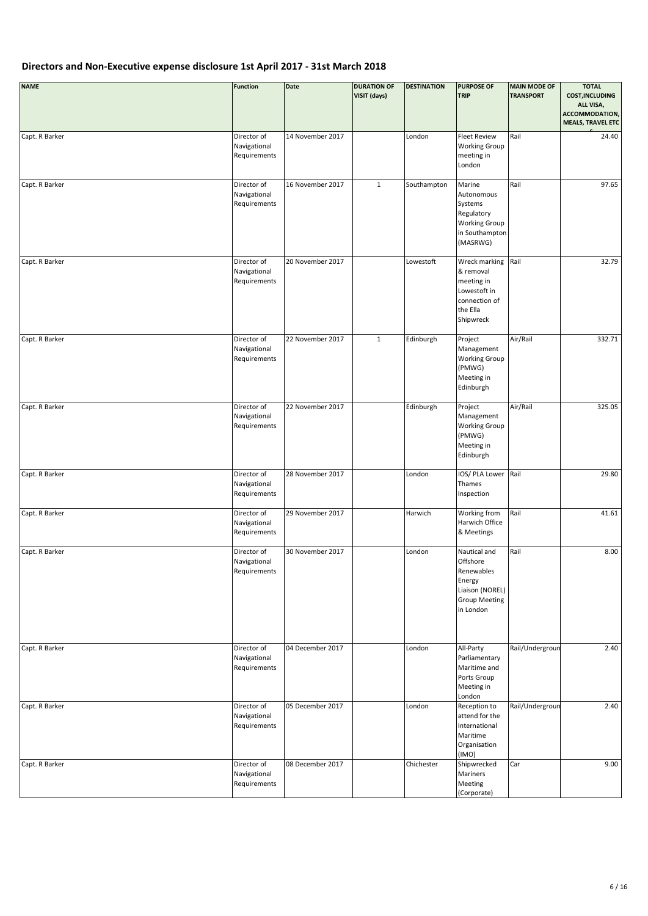| <b>NAME</b>    | <b>Function</b>                             | Date             | <b>DURATION OF</b><br>VISIT (days) | <b>DESTINATION</b> | <b>PURPOSE OF</b><br><b>TRIP</b>                                                                         | <b>MAIN MODE OF</b><br><b>TRANSPORT</b> | <b>TOTAL</b><br><b>COST, INCLUDING</b><br>ALL VISA,<br>ACCOMMODATION,<br><b>MEALS, TRAVEL ETC</b> |
|----------------|---------------------------------------------|------------------|------------------------------------|--------------------|----------------------------------------------------------------------------------------------------------|-----------------------------------------|---------------------------------------------------------------------------------------------------|
| Capt. R Barker | Director of<br>Navigational<br>Requirements | 14 November 2017 |                                    | London             | <b>Fleet Review</b><br><b>Working Group</b><br>meeting in<br>London                                      | Rail                                    | 24.40                                                                                             |
| Capt. R Barker | Director of<br>Navigational<br>Requirements | 16 November 2017 | $\mathbf{1}$                       | Southampton        | Marine<br>Autonomous<br>Systems<br>Regulatory<br><b>Working Group</b><br>in Southampton<br>(MASRWG)      | Rail                                    | 97.65                                                                                             |
| Capt. R Barker | Director of<br>Navigational<br>Requirements | 20 November 2017 |                                    | Lowestoft          | Wreck marking<br>& removal<br>meeting in<br>Lowestoft in<br>connection of<br>the Ella<br>Shipwreck       | Rail                                    | 32.79                                                                                             |
| Capt. R Barker | Director of<br>Navigational<br>Requirements | 22 November 2017 | $\mathbf 1$                        | Edinburgh          | Project<br>Management<br><b>Working Group</b><br>(PMWG)<br>Meeting in<br>Edinburgh                       | Air/Rail                                | 332.71                                                                                            |
| Capt. R Barker | Director of<br>Navigational<br>Requirements | 22 November 2017 |                                    | Edinburgh          | Project<br>Management<br><b>Working Group</b><br>(PMWG)<br>Meeting in<br>Edinburgh                       | Air/Rail                                | 325.05                                                                                            |
| Capt. R Barker | Director of<br>Navigational<br>Requirements | 28 November 2017 |                                    | London             | IOS/ PLA Lower<br>Thames<br>Inspection                                                                   | Rail                                    | 29.80                                                                                             |
| Capt. R Barker | Director of<br>Navigational<br>Requirements | 29 November 2017 |                                    | Harwich            | Working from<br>Harwich Office<br>& Meetings                                                             | Rail                                    | 41.61                                                                                             |
| Capt. R Barker | Director of<br>Navigational<br>Requirements | 30 November 2017 |                                    | London             | Nautical and<br>Offshore<br>Renewables<br>Energy<br>Liaison (NOREL)<br><b>Group Meeting</b><br>in London | Rail                                    | 8.00                                                                                              |
| Capt. R Barker | Director of<br>Navigational<br>Requirements | 04 December 2017 |                                    | London             | All-Party<br>Parliamentary<br>Maritime and<br>Ports Group<br>Meeting in<br>London                        | Rail/Undergroun                         | 2.40                                                                                              |
| Capt. R Barker | Director of<br>Navigational<br>Requirements | 05 December 2017 |                                    | London             | Reception to<br>attend for the<br>International<br>Maritime<br>Organisation<br>(IMO)                     | Rail/Undergroun                         | 2.40                                                                                              |
| Capt. R Barker | Director of<br>Navigational<br>Requirements | 08 December 2017 |                                    | Chichester         | Shipwrecked<br>Mariners<br>Meeting<br>(Corporate)                                                        | Car                                     | 9.00                                                                                              |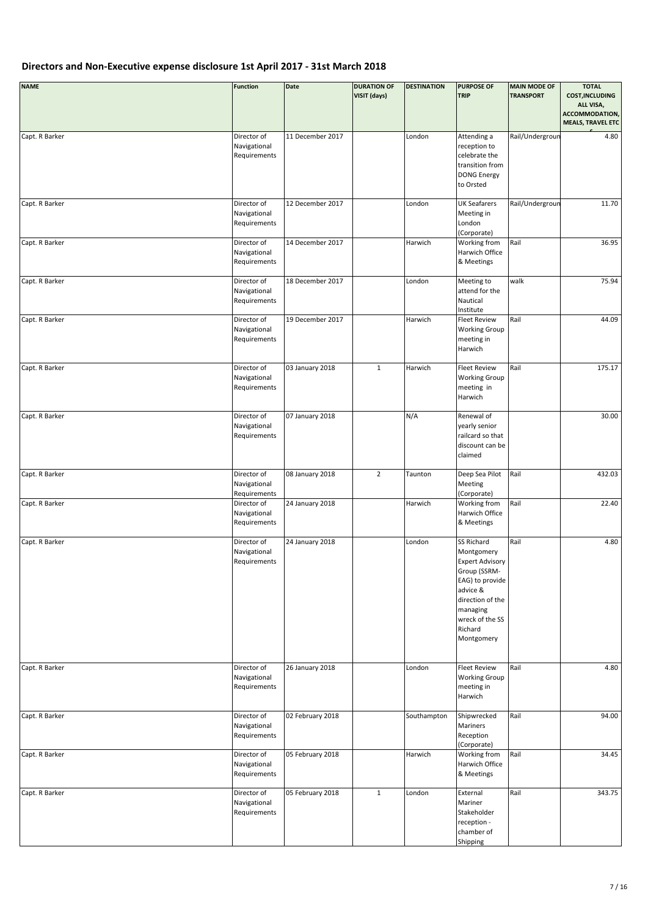| <b>NAME</b>    | <b>Function</b>                             | Date             | <b>DURATION OF</b><br>VISIT (days) | <b>DESTINATION</b> | <b>PURPOSE OF</b><br><b>TRIP</b>                                                                                                                                              | <b>MAIN MODE OF</b><br><b>TRANSPORT</b> | <b>TOTAL</b><br><b>COST, INCLUDING</b><br>ALL VISA,<br>ACCOMMODATION,<br><b>MEALS, TRAVEL ETC</b> |
|----------------|---------------------------------------------|------------------|------------------------------------|--------------------|-------------------------------------------------------------------------------------------------------------------------------------------------------------------------------|-----------------------------------------|---------------------------------------------------------------------------------------------------|
| Capt. R Barker | Director of<br>Navigational<br>Requirements | 11 December 2017 |                                    | London             | Attending a<br>reception to<br>celebrate the<br>transition from<br><b>DONG Energy</b><br>to Orsted                                                                            | Rail/Undergroun                         | 4.80                                                                                              |
| Capt. R Barker | Director of<br>Navigational<br>Requirements | 12 December 2017 |                                    | London             | <b>UK Seafarers</b><br>Meeting in<br>London<br>(Corporate)                                                                                                                    | Rail/Undergroun                         | 11.70                                                                                             |
| Capt. R Barker | Director of<br>Navigational<br>Requirements | 14 December 2017 |                                    | Harwich            | Working from<br>Harwich Office<br>& Meetings                                                                                                                                  | Rail                                    | 36.95                                                                                             |
| Capt. R Barker | Director of<br>Navigational<br>Requirements | 18 December 2017 |                                    | London             | Meeting to<br>attend for the<br>Nautical<br>Institute                                                                                                                         | walk                                    | 75.94                                                                                             |
| Capt. R Barker | Director of<br>Navigational<br>Requirements | 19 December 2017 |                                    | Harwich            | <b>Fleet Review</b><br><b>Working Group</b><br>meeting in<br>Harwich                                                                                                          | Rail                                    | 44.09                                                                                             |
| Capt. R Barker | Director of<br>Navigational<br>Requirements | 03 January 2018  | $\mathbf{1}$                       | Harwich            | <b>Fleet Review</b><br><b>Working Group</b><br>meeting in<br>Harwich                                                                                                          | Rail                                    | 175.17                                                                                            |
| Capt. R Barker | Director of<br>Navigational<br>Requirements | 07 January 2018  |                                    | N/A                | Renewal of<br>yearly senior<br>railcard so that<br>discount can be<br>claimed                                                                                                 |                                         | 30.00                                                                                             |
| Capt. R Barker | Director of<br>Navigational<br>Requirements | 08 January 2018  | $\overline{2}$                     | Taunton            | Deep Sea Pilot<br>Meeting<br>(Corporate)                                                                                                                                      | Rail                                    | 432.03                                                                                            |
| Capt. R Barker | Director of<br>Navigational<br>Requirements | 24 January 2018  |                                    | Harwich            | Working from<br>Harwich Office<br>& Meetings                                                                                                                                  | Rail                                    | 22.40                                                                                             |
| Capt. R Barker | Director of<br>Navigational<br>Requirements | 24 January 2018  |                                    | London             | SS Richard<br>Montgomery<br><b>Expert Advisory</b><br>Group (SSRM-<br>EAG) to provide<br>advice &<br>direction of the<br>managing<br>wreck of the SS<br>Richard<br>Montgomery | Rail                                    | 4.80                                                                                              |
| Capt. R Barker | Director of<br>Navigational<br>Requirements | 26 January 2018  |                                    | London             | <b>Fleet Review</b><br><b>Working Group</b><br>meeting in<br>Harwich                                                                                                          | Rail                                    | 4.80                                                                                              |
| Capt. R Barker | Director of<br>Navigational<br>Requirements | 02 February 2018 |                                    | Southampton        | Shipwrecked<br>Mariners<br>Reception<br>(Corporate)                                                                                                                           | Rail                                    | 94.00                                                                                             |
| Capt. R Barker | Director of<br>Navigational<br>Requirements | 05 February 2018 |                                    | Harwich            | Working from<br>Harwich Office<br>& Meetings                                                                                                                                  | Rail                                    | 34.45                                                                                             |
| Capt. R Barker | Director of<br>Navigational<br>Requirements | 05 February 2018 | $\mathbf{1}$                       | London             | External<br>Mariner<br>Stakeholder<br>reception -<br>chamber of<br>Shipping                                                                                                   | Rail                                    | 343.75                                                                                            |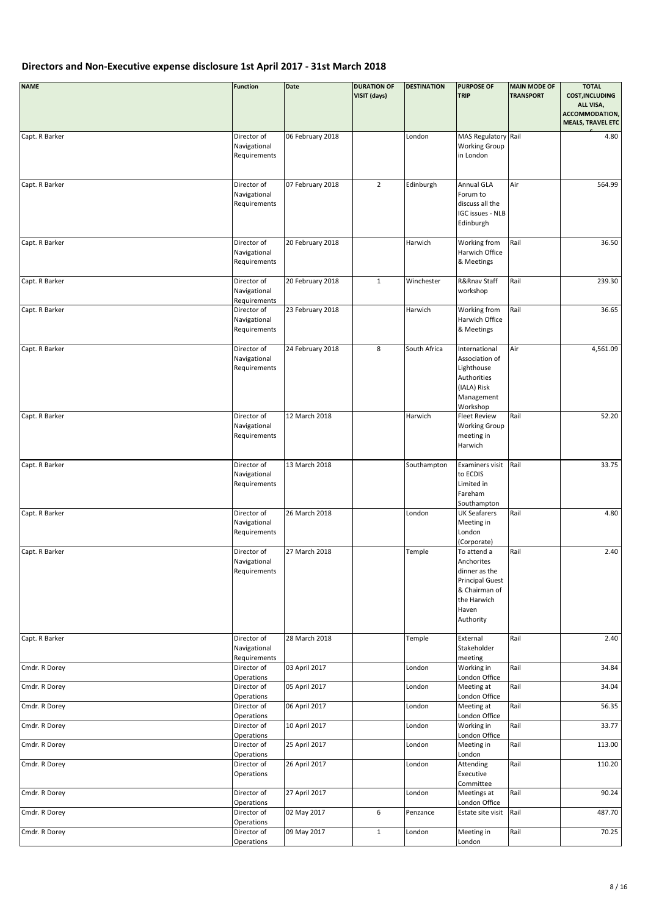| <b>NAME</b>    | <b>Function</b>                             | <b>Date</b>      | <b>DURATION OF</b><br>VISIT (days) | <b>DESTINATION</b> | <b>PURPOSE OF</b><br><b>TRIP</b>                                                                                           | <b>MAIN MODE OF</b><br><b>TRANSPORT</b> | <b>TOTAL</b><br><b>COST, INCLUDING</b><br>ALL VISA,<br>ACCOMMODATION,<br><b>MEALS, TRAVEL ETC</b> |
|----------------|---------------------------------------------|------------------|------------------------------------|--------------------|----------------------------------------------------------------------------------------------------------------------------|-----------------------------------------|---------------------------------------------------------------------------------------------------|
| Capt. R Barker | Director of<br>Navigational<br>Requirements | 06 February 2018 |                                    | London             | MAS Regulatory Rail<br><b>Working Group</b><br>in London                                                                   |                                         | 4.80                                                                                              |
| Capt. R Barker | Director of<br>Navigational<br>Requirements | 07 February 2018 | $\overline{2}$                     | Edinburgh          | Annual GLA<br>Forum to<br>discuss all the<br><b>IGC issues - NLB</b><br>Edinburgh                                          | Air                                     | 564.99                                                                                            |
| Capt. R Barker | Director of<br>Navigational<br>Requirements | 20 February 2018 |                                    | Harwich            | Working from<br>Harwich Office<br>& Meetings                                                                               | Rail                                    | 36.50                                                                                             |
| Capt. R Barker | Director of<br>Navigational<br>Requirements | 20 February 2018 | $\mathbf{1}$                       | Winchester         | R&Rnav Staff<br>workshop                                                                                                   | Rail                                    | 239.30                                                                                            |
| Capt. R Barker | Director of<br>Navigational<br>Requirements | 23 February 2018 |                                    | Harwich            | Working from<br>Harwich Office<br>& Meetings                                                                               | Rail                                    | 36.65                                                                                             |
| Capt. R Barker | Director of<br>Navigational<br>Requirements | 24 February 2018 | 8                                  | South Africa       | International<br>Association of<br>Lighthouse<br>Authorities<br>(IALA) Risk<br>Management<br>Workshop                      | Air                                     | 4,561.09                                                                                          |
| Capt. R Barker | Director of<br>Navigational<br>Requirements | 12 March 2018    |                                    | Harwich            | <b>Fleet Review</b><br><b>Working Group</b><br>meeting in<br>Harwich                                                       | Rail                                    | 52.20                                                                                             |
| Capt. R Barker | Director of<br>Navigational<br>Requirements | 13 March 2018    |                                    | Southampton        | Examiners visit<br>to ECDIS<br>Limited in<br>Fareham<br>Southampton                                                        | Rail                                    | 33.75                                                                                             |
| Capt. R Barker | Director of<br>Navigational<br>Requirements | 26 March 2018    |                                    | London             | <b>UK Seafarers</b><br>Meeting in<br>London<br>(Corporate)                                                                 | Rail                                    | 4.80                                                                                              |
| Capt. R Barker | Director of<br>Navigational<br>Requirements | 27 March 2018    |                                    | Temple             | To attend a<br>Anchorites<br>dinner as the<br><b>Principal Guest</b><br>& Chairman of<br>the Harwich<br>Haven<br>Authority | Rail                                    | 2.40                                                                                              |
| Capt. R Barker | Director of<br>Navigational<br>Requirements | 28 March 2018    |                                    | Temple             | External<br>Stakeholder<br>meeting                                                                                         | Rail                                    | 2.40                                                                                              |
| Cmdr. R Dorey  | Director of<br>Operations                   | 03 April 2017    |                                    | London             | Working in<br>London Office                                                                                                | Rail                                    | 34.84                                                                                             |
| Cmdr. R Dorey  | Director of<br>Operations                   | 05 April 2017    |                                    | London             | Meeting at<br>London Office                                                                                                | Rail                                    | 34.04                                                                                             |
| Cmdr. R Dorey  | Director of<br>Operations                   | 06 April 2017    |                                    | London             | Meeting at<br>London Office                                                                                                | Rail                                    | 56.35                                                                                             |
| Cmdr. R Dorey  | Director of<br>Operations                   | 10 April 2017    |                                    | London             | Working in<br>London Office                                                                                                | Rail                                    | 33.77                                                                                             |
| Cmdr. R Dorey  | Director of<br>Operations                   | 25 April 2017    |                                    | London             | Meeting in<br>London                                                                                                       | Rail                                    | 113.00                                                                                            |
| Cmdr. R Dorey  | Director of<br>Operations                   | 26 April 2017    |                                    | London             | Attending<br>Executive<br>Committee                                                                                        | Rail                                    | 110.20                                                                                            |
| Cmdr. R Dorey  | Director of<br>Operations                   | 27 April 2017    |                                    | London             | Meetings at<br>London Office                                                                                               | Rail                                    | 90.24                                                                                             |
| Cmdr. R Dorey  | Director of<br>Operations                   | 02 May 2017      | 6                                  | Penzance           | Estate site visit                                                                                                          | Rail                                    | 487.70                                                                                            |
| Cmdr. R Dorey  | Director of<br>Operations                   | 09 May 2017      | $\mathbf 1$                        | London             | Meeting in<br>London                                                                                                       | Rail                                    | 70.25                                                                                             |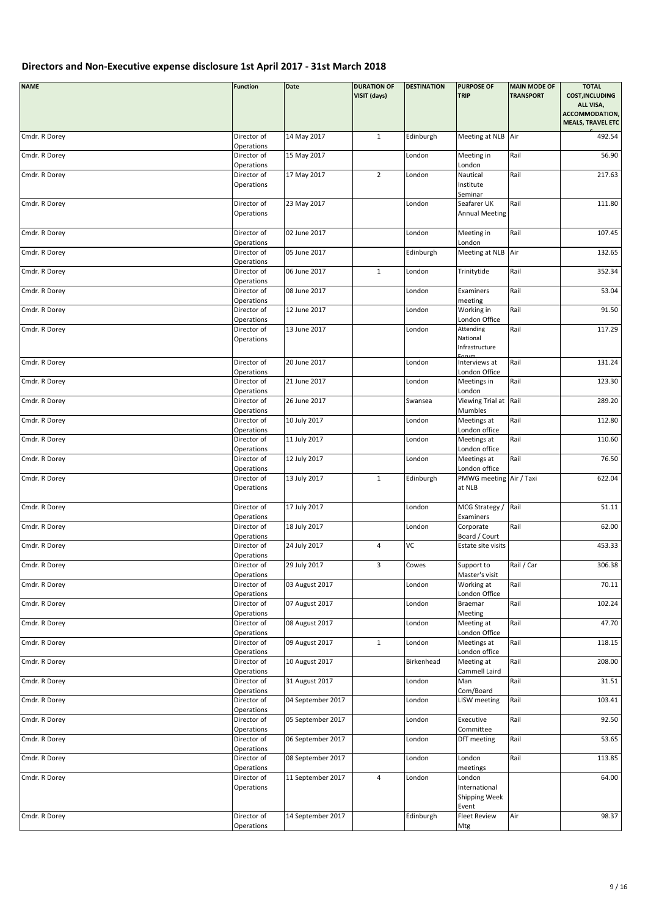| <b>NAME</b>   | <b>Function</b>                         | Date              | <b>DURATION OF</b><br>VISIT (days) | <b>DESTINATION</b> | <b>PURPOSE OF</b><br><b>TRIP</b>                              | <b>MAIN MODE OF</b><br><b>TRANSPORT</b> | <b>TOTAL</b><br><b>COST, INCLUDING</b><br>ALL VISA,<br>ACCOMMODATION,<br><b>MEALS, TRAVEL ETC</b> |
|---------------|-----------------------------------------|-------------------|------------------------------------|--------------------|---------------------------------------------------------------|-----------------------------------------|---------------------------------------------------------------------------------------------------|
| Cmdr. R Dorey | Director of<br>Operations               | 14 May 2017       | $\mathbf{1}$                       | Edinburgh          | Meeting at NLB Air                                            |                                         | 492.54                                                                                            |
| Cmdr. R Dorey | Director of<br>Operations               | 15 May 2017       |                                    | London             | Meeting in<br>London                                          | Rail                                    | 56.90                                                                                             |
| Cmdr. R Dorey | Director of<br>Operations               | 17 May 2017       | $\overline{2}$                     | London             | Nautical<br>Institute<br>Seminar                              | Rail                                    | 217.63                                                                                            |
| Cmdr. R Dorey | Director of<br>Operations               | 23 May 2017       |                                    | London             | Seafarer UK<br><b>Annual Meeting</b>                          | Rail                                    | 111.80                                                                                            |
| Cmdr. R Dorey | Director of<br>Operations               | 02 June 2017      |                                    | London             | Meeting in<br>London                                          | Rail                                    | 107.45                                                                                            |
| Cmdr. R Dorey | Director of<br>Operations               | 05 June 2017      |                                    | Edinburgh          | Meeting at NLB Air                                            |                                         | 132.65                                                                                            |
| Cmdr. R Dorey | Director of<br>Operations               | 06 June 2017      | $\mathbf{1}$                       | London             | Trinitytide                                                   | Rail                                    | 352.34                                                                                            |
| Cmdr. R Dorey | Director of<br>Operations               | 08 June 2017      |                                    | London             | Examiners<br>meeting                                          | Rail                                    | 53.04                                                                                             |
| Cmdr. R Dorey | Director of<br>Operations               | 12 June 2017      |                                    | London             | Working in<br>London Office                                   | Rail                                    | 91.50                                                                                             |
| Cmdr. R Dorey | Director of<br>Operations               | 13 June 2017      |                                    | London             | Attending<br>National<br>Infrastructure                       | Rail                                    | 117.29                                                                                            |
| Cmdr. R Dorey | Director of<br>Operations               | 20 June 2017      |                                    | London             | Interviews at<br>London Office                                | Rail                                    | 131.24                                                                                            |
| Cmdr. R Dorey | Director of<br>Operations               | 21 June 2017      |                                    | London             | Meetings in<br>London                                         | Rail                                    | 123.30                                                                                            |
| Cmdr. R Dorey | Director of<br>Operations               | 26 June 2017      |                                    | Swansea            | Viewing Trial at Rail<br>Mumbles                              |                                         | 289.20                                                                                            |
| Cmdr. R Dorey | Director of<br>Operations               | 10 July 2017      |                                    | London             | Meetings at<br>London office                                  | Rail                                    | 112.80                                                                                            |
| Cmdr. R Dorey | Director of<br>Operations               | 11 July 2017      |                                    | London             | Meetings at<br>London office                                  | Rail                                    | 110.60                                                                                            |
| Cmdr. R Dorey | Director of<br>Operations               | 12 July 2017      |                                    | London             | Meetings at<br>London office                                  | Rail                                    | 76.50                                                                                             |
| Cmdr. R Dorey | Director of<br>Operations               | 13 July 2017      | $\mathbf{1}$                       | Edinburgh          | PMWG meeting Air / Taxi<br>at NLB                             |                                         | 622.04                                                                                            |
| Cmdr. R Dorey | Director of<br>Operations               | 17 July 2017      |                                    | London             | MCG Strategy /<br>Examiners                                   | Rail                                    | 51.11                                                                                             |
| Cmdr. R Dorey | Director of<br>Operations               | 18 July 2017      |                                    | London             | Corporate<br>Board / Court                                    | Rail                                    | 62.00                                                                                             |
| Cmdr. R Dorey | Director of<br>Operations               | 24 July 2017      | $\overline{4}$                     | VC                 | Estate site visits                                            |                                         | 453.33                                                                                            |
| Cmdr. R Dorey | Director of<br>Operations               | 29 July 2017      | 3                                  | Cowes              | Support to<br>Master's visit                                  | Rail / Car                              | 306.38                                                                                            |
| Cmdr. R Dorey | Director of<br>Operations               | 03 August 2017    |                                    | London             | Working at<br>London Office                                   | Rail                                    | 70.11                                                                                             |
| Cmdr. R Dorey | Director of<br>Operations               | 07 August 2017    |                                    | London             | Braemar<br>Meeting                                            | Rail                                    | 102.24                                                                                            |
| Cmdr. R Dorey | Director of<br>Operations               | 08 August 2017    |                                    | London             | Meeting at<br>London Office                                   | Rail                                    | 47.70                                                                                             |
| Cmdr. R Dorey | Director of<br>Operations               | 09 August 2017    | $\mathbf{1}$                       | London             | Meetings at<br>London office                                  | Rail                                    | 118.15                                                                                            |
| Cmdr. R Dorey | Director of<br>Operations               | 10 August 2017    |                                    | Birkenhead         | Meeting at<br>Cammell Laird                                   | Rail                                    | 208.00                                                                                            |
| Cmdr. R Dorey | Director of<br>Operations               | 31 August 2017    |                                    | London             | Man<br>Com/Board                                              | Rail                                    | 31.51                                                                                             |
| Cmdr. R Dorey | Director of<br>Operations               | 04 September 2017 |                                    | London             | LISW meeting                                                  | Rail                                    | 103.41                                                                                            |
| Cmdr. R Dorey | Director of<br>Operations               | 05 September 2017 |                                    | London             | Executive<br>Committee                                        | Rail                                    | 92.50                                                                                             |
| Cmdr. R Dorey | Director of                             | 06 September 2017 |                                    | London             | DfT meeting                                                   | Rail                                    | 53.65                                                                                             |
| Cmdr. R Dorey | Operations<br>Director of               | 08 September 2017 |                                    | London             | London                                                        | Rail                                    | 113.85                                                                                            |
| Cmdr. R Dorey | Operations<br>Director of<br>Operations | 11 September 2017 | $\overline{4}$                     | London             | meetings<br>London<br>International<br>Shipping Week<br>Event |                                         | 64.00                                                                                             |
| Cmdr. R Dorey | Director of<br>Operations               | 14 September 2017 |                                    | Edinburgh          | <b>Fleet Review</b><br>Mtg                                    | Air                                     | 98.37                                                                                             |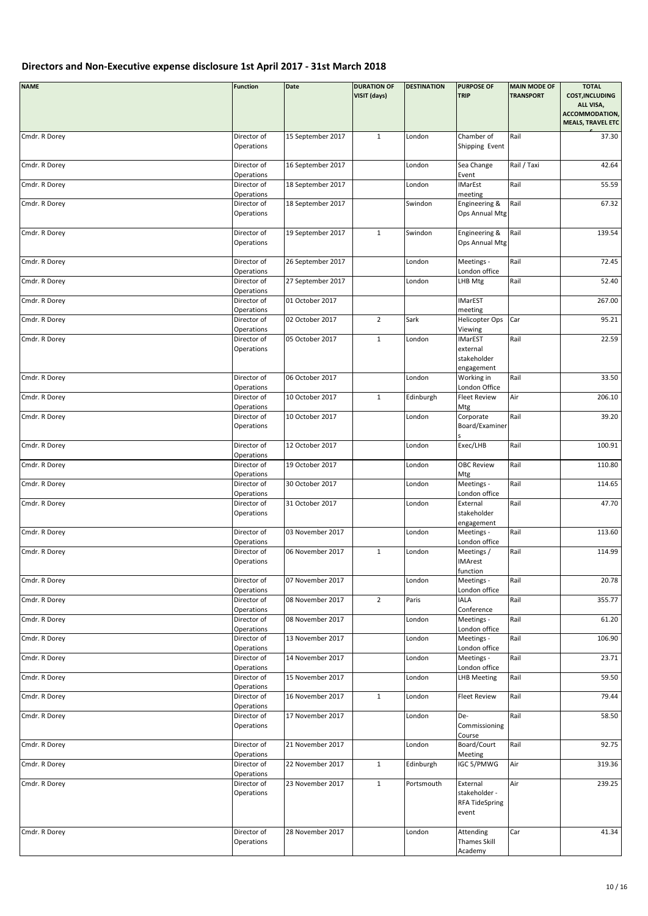| <b>NAME</b>   | <b>Function</b>                         | Date              | <b>DURATION OF</b><br>VISIT (days) | <b>DESTINATION</b> | <b>PURPOSE OF</b><br><b>TRIP</b>                                   | <b>MAIN MODE OF</b><br><b>TRANSPORT</b> | <b>TOTAL</b><br><b>COST, INCLUDING</b><br>ALL VISA,<br>ACCOMMODATION,<br><b>MEALS, TRAVEL ETC</b> |
|---------------|-----------------------------------------|-------------------|------------------------------------|--------------------|--------------------------------------------------------------------|-----------------------------------------|---------------------------------------------------------------------------------------------------|
| Cmdr. R Dorey | Director of<br>Operations               | 15 September 2017 | $\mathbf{1}$                       | London             | Chamber of<br>Shipping Event                                       | Rail                                    | 37.30                                                                                             |
| Cmdr. R Dorey | Director of<br>Operations               | 16 September 2017 |                                    | London             | Sea Change<br>Event                                                | Rail / Taxi                             | 42.64                                                                                             |
| Cmdr. R Dorey | Director of<br>Operations               | 18 September 2017 |                                    | London             | <b>IMarEst</b><br>meeting                                          | Rail                                    | 55.59                                                                                             |
| Cmdr. R Dorey | Director of<br>Operations               | 18 September 2017 |                                    | Swindon            | Engineering &<br>Ops Annual Mtg                                    | Rail                                    | 67.32                                                                                             |
| Cmdr. R Dorey | Director of<br>Operations               | 19 September 2017 | $\mathbf{1}$                       | Swindon            | Engineering &<br>Ops Annual Mtg                                    | Rail                                    | 139.54                                                                                            |
| Cmdr. R Dorey | Director of                             | 26 September 2017 |                                    | London             | Meetings -                                                         | Rail                                    | 72.45                                                                                             |
| Cmdr. R Dorey | Operations<br>Director of<br>Operations | 27 September 2017 |                                    | London             | London office<br>LHB Mtg                                           | Rail                                    | 52.40                                                                                             |
| Cmdr. R Dorey | Director of                             | 01 October 2017   |                                    |                    | <b>IMarEST</b>                                                     |                                         | 267.00                                                                                            |
| Cmdr. R Dorey | Operations<br>Director of               | 02 October 2017   | $\overline{2}$                     | Sark               | meeting<br><b>Helicopter Ops</b>                                   | Car                                     | 95.21                                                                                             |
| Cmdr. R Dorey | Operations<br>Director of<br>Operations | 05 October 2017   | $\mathbf{1}$                       | London             | Viewing<br><b>IMarEST</b><br>external<br>stakeholder<br>engagement | Rail                                    | 22.59                                                                                             |
| Cmdr. R Dorey | Director of<br>Operations               | 06 October 2017   |                                    | London             | Working in<br>London Office                                        | Rail                                    | 33.50                                                                                             |
| Cmdr. R Dorey | Director of<br>Operations               | 10 October 2017   | $\mathbf{1}$                       | Edinburgh          | <b>Fleet Review</b>                                                | Air                                     | 206.10                                                                                            |
| Cmdr. R Dorey | Director of<br>Operations               | 10 October 2017   |                                    | London             | Mtg<br>Corporate<br>Board/Examiner                                 | Rail                                    | 39.20                                                                                             |
| Cmdr. R Dorey | Director of                             | 12 October 2017   |                                    | London             | Exec/LHB                                                           | Rail                                    | 100.91                                                                                            |
| Cmdr. R Dorey | Operations<br>Director of               | 19 October 2017   |                                    | London             | <b>OBC Review</b>                                                  | Rail                                    | 110.80                                                                                            |
| Cmdr. R Dorey | Operations<br>Director of               | 30 October 2017   |                                    | London             | Mtg<br>Meetings -                                                  | Rail                                    | 114.65                                                                                            |
| Cmdr. R Dorey | Operations<br>Director of<br>Operations | 31 October 2017   |                                    | London             | London office<br>External<br>stakeholder                           | Rail                                    | 47.70                                                                                             |
| Cmdr. R Dorey | Director of<br>Operations               | 03 November 2017  |                                    | London             | engagement<br>Meetings -<br>London office                          | Rail                                    | 113.60                                                                                            |
| Cmdr. R Dorey | Director of<br>Operations               | 06 November 2017  | $\mathbf{1}$                       | London             | Meetings /<br><b>IMArest</b>                                       | Rail                                    | 114.99                                                                                            |
| Cmdr. R Dorey | Director of<br>Operations               | 07 November 2017  |                                    | London             | function<br>Meetings -<br>London office                            | Rail                                    | 20.78                                                                                             |
| Cmdr. R Dorey | Director of<br>Operations               | 08 November 2017  | $\overline{2}$                     | Paris              | IALA<br>Conference                                                 | Rail                                    | 355.77                                                                                            |
| Cmdr. R Dorey | Director of<br>Operations               | 08 November 2017  |                                    | London             | Meetings -<br>London office                                        | Rail                                    | 61.20                                                                                             |
| Cmdr. R Dorey | Director of<br>Operations               | 13 November 2017  |                                    | London             | Meetings -<br>London office                                        | Rail                                    | 106.90                                                                                            |
| Cmdr. R Dorey | Director of<br>Operations               | 14 November 2017  |                                    | London             | Meetings -<br>London office                                        | Rail                                    | 23.71                                                                                             |
| Cmdr. R Dorey | Director of                             | 15 November 2017  |                                    | London             | <b>LHB Meeting</b>                                                 | Rail                                    | 59.50                                                                                             |
| Cmdr. R Dorey | Operations<br>Director of               | 16 November 2017  | $\mathbf{1}$                       | London             | <b>Fleet Review</b>                                                | Rail                                    | 79.44                                                                                             |
| Cmdr. R Dorey | Operations<br>Director of<br>Operations | 17 November 2017  |                                    | London             | De-<br>Commissioning                                               | Rail                                    | 58.50                                                                                             |
| Cmdr. R Dorey | Director of                             | 21 November 2017  |                                    | London             | Course<br>Board/Court                                              | Rail                                    | 92.75                                                                                             |
| Cmdr. R Dorey | Operations<br>Director of               | 22 November 2017  | $\mathbf 1$                        | Edinburgh          | Meeting<br>IGC 5/PMWG                                              | Air                                     | 319.36                                                                                            |
| Cmdr. R Dorey | Operations<br>Director of<br>Operations | 23 November 2017  | $\mathbf{1}$                       | Portsmouth         | External<br>stakeholder -<br><b>RFA TideSpring</b><br>event        | Air                                     | 239.25                                                                                            |
| Cmdr. R Dorey | Director of<br>Operations               | 28 November 2017  |                                    | London             | Attending<br>Thames Skill<br>Academy                               | Car                                     | 41.34                                                                                             |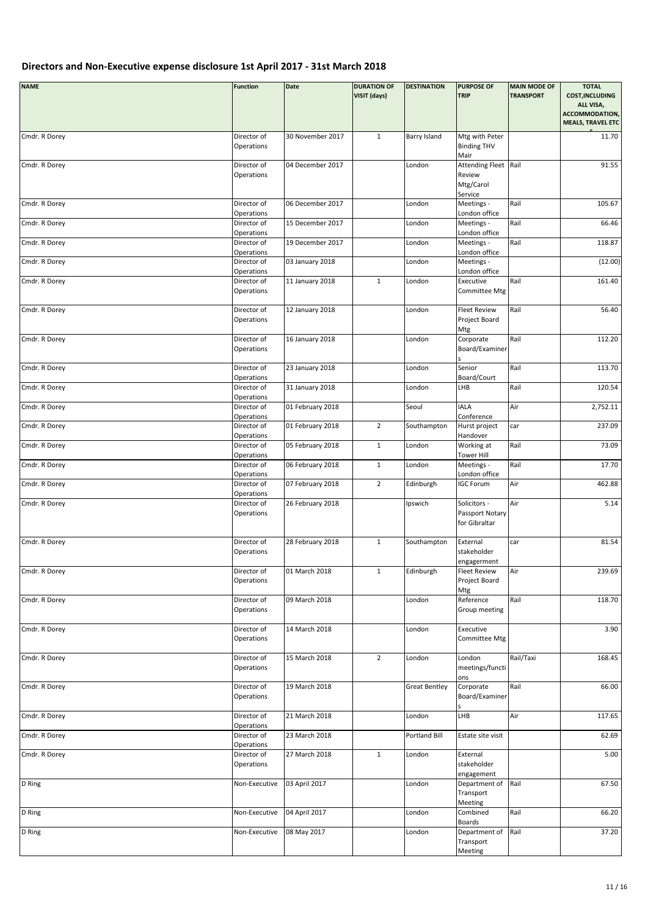| <b>NAME</b>   | <b>Function</b>                         | Date             | <b>DURATION OF</b><br>VISIT (days) | <b>DESTINATION</b>   | <b>PURPOSE OF</b><br><b>TRIP</b>                    | <b>MAIN MODE OF</b><br><b>TRANSPORT</b> | <b>TOTAL</b><br><b>COST, INCLUDING</b><br>ALL VISA,<br>ACCOMMODATION,<br><b>MEALS, TRAVEL ETC</b> |
|---------------|-----------------------------------------|------------------|------------------------------------|----------------------|-----------------------------------------------------|-----------------------------------------|---------------------------------------------------------------------------------------------------|
| Cmdr. R Dorey | Director of<br>Operations               | 30 November 2017 | $\mathbf{1}$                       | Barry Island         | Mtg with Peter<br><b>Binding THV</b><br>Mair        |                                         | 11.70                                                                                             |
| Cmdr. R Dorey | Director of<br>Operations               | 04 December 2017 |                                    | London               | Attending Fleet Rail<br>Review<br>Mtg/Carol         |                                         | 91.55                                                                                             |
| Cmdr. R Dorey | Director of                             | 06 December 2017 |                                    | London               | Service<br>Meetings -                               | Rail                                    | 105.67                                                                                            |
| Cmdr. R Dorey | Operations<br>Director of               | 15 December 2017 |                                    | London               | London office<br>Meetings -                         | Rail                                    | 66.46                                                                                             |
|               | Operations                              |                  |                                    |                      | London office                                       |                                         |                                                                                                   |
| Cmdr. R Dorey | Director of<br>Operations               | 19 December 2017 |                                    | London               | Meetings -<br>London office                         | Rail                                    | 118.87                                                                                            |
| Cmdr. R Dorey | Director of                             | 03 January 2018  |                                    | London               | Meetings -                                          |                                         | (12.00)                                                                                           |
| Cmdr. R Dorey | Operations<br>Director of<br>Operations | 11 January 2018  | $\mathbf{1}$                       | London               | London office<br>Executive<br>Committee Mtg         | Rail                                    | 161.40                                                                                            |
| Cmdr. R Dorey | Director of<br>Operations               | 12 January 2018  |                                    | London               | <b>Fleet Review</b><br>Project Board<br>Mtg         | Rail                                    | 56.40                                                                                             |
| Cmdr. R Dorey | Director of<br>Operations               | 16 January 2018  |                                    | London               | Corporate<br>Board/Examiner                         | Rail                                    | 112.20                                                                                            |
| Cmdr. R Dorey | Director of<br>Operations               | 23 January 2018  |                                    | London               | Senior<br>Board/Court                               | Rail                                    | 113.70                                                                                            |
| Cmdr. R Dorey | Director of                             | 31 January 2018  |                                    | London               | LHB                                                 | Rail                                    | 120.54                                                                                            |
| Cmdr. R Dorey | Operations<br>Director of               | 01 February 2018 |                                    | Seoul                | <b>IALA</b>                                         | Air                                     | 2,752.11                                                                                          |
| Cmdr. R Dorey | Operations<br>Director of               | 01 February 2018 | $\overline{2}$                     | Southampton          | Conference<br>Hurst project                         | car                                     | 237.09                                                                                            |
|               | Operations                              |                  |                                    |                      | Handover                                            |                                         |                                                                                                   |
| Cmdr. R Dorey | Director of<br>Operations               | 05 February 2018 | $\mathbf{1}$                       | London               | Working at<br><b>Tower Hill</b>                     | Rail                                    | 73.09                                                                                             |
| Cmdr. R Dorey | Director of<br>Operations               | 06 February 2018 | $\mathbf{1}$                       | London               | Meetings -<br>London office                         | Rail                                    | 17.70                                                                                             |
| Cmdr. R Dorey | Director of<br>Operations               | 07 February 2018 | $\overline{2}$                     | Edinburgh            | <b>IGC Forum</b>                                    | Air                                     | 462.88                                                                                            |
| Cmdr. R Dorey | Director of<br>Operations               | 26 February 2018 |                                    | Ipswich              | Solicitors -<br>Passport Notary<br>for Gibraltar    | Air                                     | 5.14                                                                                              |
| Cmdr. R Dorey | Director of<br>Operations               | 28 February 2018 | $\mathbf 1$                        | Southampton          | External<br>stakeholder<br>engagerment              | car                                     | 81.54                                                                                             |
| Cmdr. R Dorey | Director of<br>Operations               | 01 March 2018    | 1                                  | Edinburgh            | <b>Fleet Review</b><br>Project Board<br>Mtg         | Air                                     | 239.69                                                                                            |
| Cmdr. R Dorey | Director of<br>Operations               | 09 March 2018    |                                    | London               | Reference<br>Group meeting                          | Rail                                    | 118.70                                                                                            |
| Cmdr. R Dorey | Director of<br>Operations               | 14 March 2018    |                                    | London               | Executive<br>Committee Mtg                          |                                         | 3.90                                                                                              |
| Cmdr. R Dorey | Director of<br>Operations               | 15 March 2018    | $\overline{2}$                     | London               | London<br>meetings/functi<br>ons                    | Rail/Taxi                               | 168.45                                                                                            |
| Cmdr. R Dorey | Director of<br>Operations               | 19 March 2018    |                                    | <b>Great Bentley</b> | Corporate<br>Board/Examiner                         | Rail                                    | 66.00                                                                                             |
| Cmdr. R Dorey | Director of<br>Operations               | 21 March 2018    |                                    | London               | LHB                                                 | Air                                     | 117.65                                                                                            |
| Cmdr. R Dorey | Director of<br>Operations               | 23 March 2018    |                                    | Portland Bill        | Estate site visit                                   |                                         | 62.69                                                                                             |
| Cmdr. R Dorey | Director of<br>Operations               | 27 March 2018    | $\mathbf 1$                        | London               | External<br>stakeholder                             |                                         | 5.00                                                                                              |
| D Ring        | Non-Executive                           | 03 April 2017    |                                    | London               | engagement<br>Department of<br>Transport<br>Meeting | Rail                                    | 67.50                                                                                             |
| D Ring        | Non-Executive                           | 04 April 2017    |                                    | London               | Combined<br>Boards                                  | Rail                                    | 66.20                                                                                             |
| D Ring        | Non-Executive                           | 08 May 2017      |                                    | London               | Department of<br>Transport<br>Meeting               | Rail                                    | 37.20                                                                                             |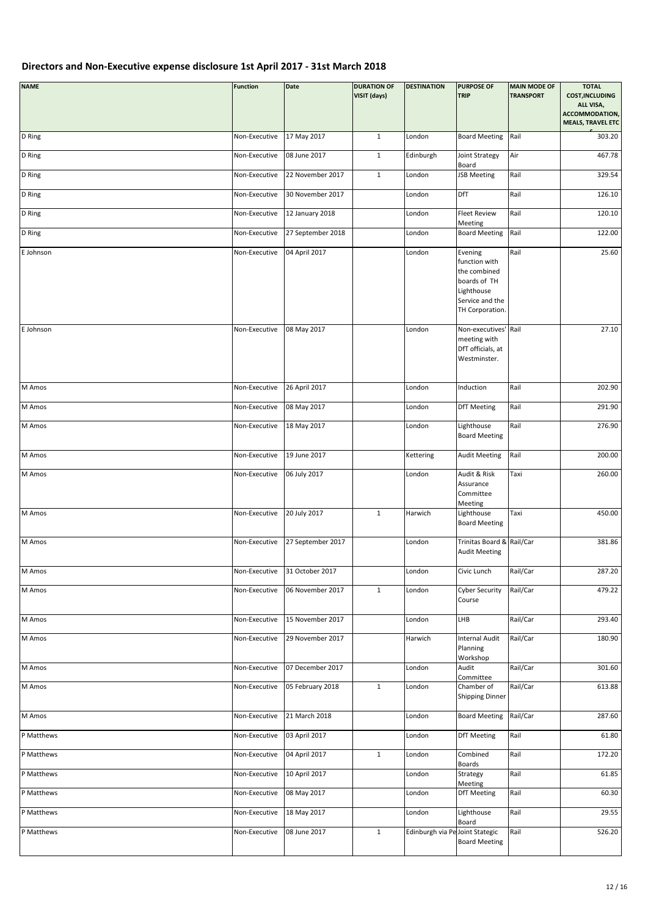| <b>NAME</b> | <b>Function</b> | Date              | <b>DURATION OF</b><br>VISIT (days) | <b>DESTINATION</b> | <b>PURPOSE OF</b><br><b>TRIP</b>                                                                             | <b>MAIN MODE OF</b><br><b>TRANSPORT</b> | <b>TOTAL</b><br><b>COST, INCLUDING</b><br>ALL VISA,<br>ACCOMMODATION,<br><b>MEALS, TRAVEL ETC</b> |
|-------------|-----------------|-------------------|------------------------------------|--------------------|--------------------------------------------------------------------------------------------------------------|-----------------------------------------|---------------------------------------------------------------------------------------------------|
| D Ring      | Non-Executive   | 17 May 2017       | $\mathbf{1}$                       | London             | <b>Board Meeting</b>                                                                                         | Rail                                    | 303.20                                                                                            |
| D Ring      | Non-Executive   | 08 June 2017      | $\mathbf{1}$                       | Edinburgh          | Joint Strategy<br>Board                                                                                      | Air                                     | 467.78                                                                                            |
| D Ring      | Non-Executive   | 22 November 2017  | $\mathbf{1}$                       | London             | JSB Meeting                                                                                                  | Rail                                    | 329.54                                                                                            |
| D Ring      | Non-Executive   | 30 November 2017  |                                    | London             | DfT                                                                                                          | Rail                                    | 126.10                                                                                            |
| D Ring      | Non-Executive   | 12 January 2018   |                                    | London             | <b>Fleet Review</b><br>Meeting                                                                               | Rail                                    | 120.10                                                                                            |
| D Ring      | Non-Executive   | 27 September 2018 |                                    | London             | <b>Board Meeting</b>                                                                                         | Rail                                    | 122.00                                                                                            |
| E Johnson   | Non-Executive   | 04 April 2017     |                                    | London             | Evening<br>function with<br>the combined<br>boards of TH<br>Lighthouse<br>Service and the<br>TH Corporation. | Rail                                    | 25.60                                                                                             |
| E Johnson   | Non-Executive   | 08 May 2017       |                                    | London             | Non-executives' Rail<br>meeting with<br>DfT officials, at<br>Westminster.                                    |                                         | 27.10                                                                                             |
| M Amos      | Non-Executive   | 26 April 2017     |                                    | London             | Induction                                                                                                    | Rail                                    | 202.90                                                                                            |
| M Amos      | Non-Executive   | 08 May 2017       |                                    | London             | DfT Meeting                                                                                                  | Rail                                    | 291.90                                                                                            |
| M Amos      | Non-Executive   | 18 May 2017       |                                    | London             | Lighthouse<br><b>Board Meeting</b>                                                                           | Rail                                    | 276.90                                                                                            |
| M Amos      | Non-Executive   | 19 June 2017      |                                    | Kettering          | <b>Audit Meeting</b>                                                                                         | Rail                                    | 200.00                                                                                            |
| M Amos      | Non-Executive   | 06 July 2017      |                                    | London             | Audit & Risk<br>Assurance<br>Committee<br>Meeting                                                            | Taxi                                    | 260.00                                                                                            |
| M Amos      | Non-Executive   | 20 July 2017      | $\mathbf{1}$                       | Harwich            | Lighthouse<br><b>Board Meeting</b>                                                                           | Taxi                                    | 450.00                                                                                            |
| M Amos      | Non-Executive   | 27 September 2017 |                                    | London             | Trinitas Board & Rail/Car<br><b>Audit Meeting</b>                                                            |                                         | 381.86                                                                                            |
| M Amos      | Non-Executive   | 31 October 2017   |                                    | London             | Civic Lunch                                                                                                  | Rail/Car                                | 287.20                                                                                            |
| M Amos      | Non-Executive   | 06 November 2017  | $\mathbf 1$                        | London             | <b>Cyber Security</b><br>Course                                                                              | Rail/Car                                | 479.22                                                                                            |
| M Amos      | Non-Executive   | 15 November 2017  |                                    | London             | LHB                                                                                                          | Rail/Car                                | 293.40                                                                                            |
| M Amos      | Non-Executive   | 29 November 2017  |                                    | Harwich            | <b>Internal Audit</b><br>Planning<br>Workshop                                                                | Rail/Car                                | 180.90                                                                                            |
| M Amos      | Non-Executive   | 07 December 2017  |                                    | London             | Audit<br>Committee                                                                                           | Rail/Car                                | 301.60                                                                                            |
| M Amos      | Non-Executive   | 05 February 2018  | $\mathbf{1}$                       | London             | Chamber of<br>Shipping Dinner                                                                                | Rail/Car                                | 613.88                                                                                            |
| M Amos      | Non-Executive   | 21 March 2018     |                                    | London             | <b>Board Meeting</b>                                                                                         | Rail/Car                                | 287.60                                                                                            |
| P Matthews  | Non-Executive   | 03 April 2017     |                                    | London             | <b>DfT Meeting</b>                                                                                           | Rail                                    | 61.80                                                                                             |
| P Matthews  | Non-Executive   | 04 April 2017     | $\mathbf{1}$                       | London             | Combined<br>Boards                                                                                           | Rail                                    | 172.20                                                                                            |
| P Matthews  | Non-Executive   | 10 April 2017     |                                    | London             | Strategy<br>Meeting                                                                                          | Rail                                    | 61.85                                                                                             |
| P Matthews  | Non-Executive   | 08 May 2017       |                                    | London             | DfT Meeting                                                                                                  | Rail                                    | 60.30                                                                                             |
| P Matthews  | Non-Executive   | 18 May 2017       |                                    | London             | Lighthouse<br>Board                                                                                          | Rail                                    | 29.55                                                                                             |
| P Matthews  | Non-Executive   | 08 June 2017      | $\mathbf{1}$                       | Edinburgh via Pe   | Joint Stategic<br><b>Board Meeting</b>                                                                       | Rail                                    | 526.20                                                                                            |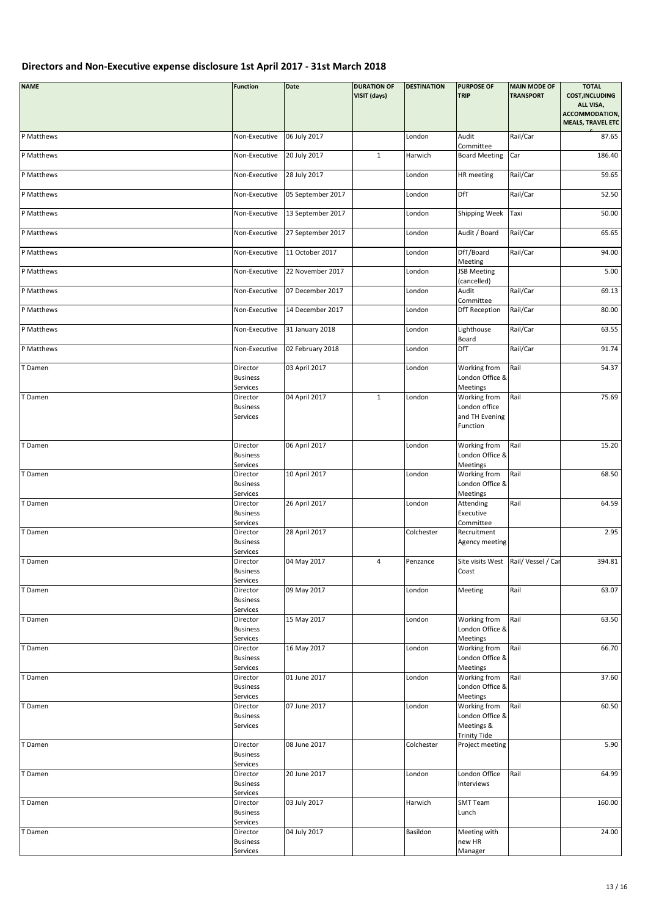| <b>NAME</b> | <b>Function</b>                         | Date              | <b>DURATION OF</b><br>VISIT (days) | <b>DESTINATION</b> | <b>PURPOSE OF</b><br><b>TRIP</b>                            | <b>MAIN MODE OF</b><br><b>TRANSPORT</b> | <b>TOTAL</b><br><b>COST, INCLUDING</b><br>ALL VISA,<br>ACCOMMODATION,<br><b>MEALS, TRAVEL ETC</b> |
|-------------|-----------------------------------------|-------------------|------------------------------------|--------------------|-------------------------------------------------------------|-----------------------------------------|---------------------------------------------------------------------------------------------------|
| P Matthews  | Non-Executive                           | 06 July 2017      |                                    | London             | Audit                                                       | Rail/Car                                | 87.65                                                                                             |
| P Matthews  | Non-Executive                           | 20 July 2017      | $\mathbf{1}$                       | Harwich            | Committee<br><b>Board Meeting</b>                           | Car                                     | 186.40                                                                                            |
| P Matthews  | Non-Executive                           | 28 July 2017      |                                    | London             | HR meeting                                                  | Rail/Car                                | 59.65                                                                                             |
| P Matthews  | Non-Executive                           | 05 September 2017 |                                    | London             | DfT                                                         | Rail/Car                                | 52.50                                                                                             |
| P Matthews  | Non-Executive                           | 13 September 2017 |                                    | London             | Shipping Week                                               | Taxi                                    | 50.00                                                                                             |
| P Matthews  | Non-Executive                           | 27 September 2017 |                                    | London             | Audit / Board                                               | Rail/Car                                | 65.65                                                                                             |
| P Matthews  | Non-Executive                           | 11 October 2017   |                                    | London             | DfT/Board<br>Meeting                                        | Rail/Car                                | 94.00                                                                                             |
| P Matthews  | Non-Executive                           | 22 November 2017  |                                    | London             | <b>JSB Meeting</b><br>(cancelled)                           |                                         | 5.00                                                                                              |
| P Matthews  | Non-Executive                           | 07 December 2017  |                                    | London             | Audit<br>Committee                                          | Rail/Car                                | 69.13                                                                                             |
| P Matthews  | Non-Executive                           | 14 December 2017  |                                    | London             | <b>DfT Reception</b>                                        | Rail/Car                                | 80.00                                                                                             |
| P Matthews  | Non-Executive                           | 31 January 2018   |                                    | London             | Lighthouse<br>Board                                         | Rail/Car                                | 63.55                                                                                             |
| P Matthews  | Non-Executive                           | 02 February 2018  |                                    | London             | <b>DfT</b>                                                  | Rail/Car                                | 91.74                                                                                             |
| T Damen     | Director<br><b>Business</b><br>Services | 03 April 2017     |                                    | London             | Working from<br>London Office &<br>Meetings                 | Rail                                    | 54.37                                                                                             |
| T Damen     | Director<br><b>Business</b><br>Services | 04 April 2017     | $\mathbf{1}$                       | London             | Working from<br>London office<br>and TH Evening<br>Function | Rail                                    | 75.69                                                                                             |
| T Damen     | Director<br><b>Business</b><br>Services | 06 April 2017     |                                    | London             | Working from<br>London Office &<br>Meetings                 | Rail                                    | 15.20                                                                                             |
| T Damen     | Director<br><b>Business</b><br>Services | 10 April 2017     |                                    | London             | Working from<br>London Office &<br>Meetings                 | Rail                                    | 68.50                                                                                             |
| T Damen     | Director<br><b>Business</b><br>Services | 26 April 2017     |                                    | London             | Attending<br>Executive<br>Committee                         | Rail                                    | 64.59                                                                                             |
| T Damen     | Director<br><b>Business</b><br>Services | 28 April 2017     |                                    | Colchester         | Recruitment<br>Agency meeting                               |                                         | 2.95                                                                                              |
| T Damen     | Director<br><b>Business</b><br>Services | 04 May 2017       | 4                                  | Penzance           | Coast                                                       | Site visits West Rail/Vessel / Car      | 394.81                                                                                            |
| T Damen     | Director<br><b>Business</b><br>Services | 09 May 2017       |                                    | London             | Meeting                                                     | Rail                                    | 63.07                                                                                             |
| T Damen     | Director<br><b>Business</b><br>Services | 15 May 2017       |                                    | London             | Working from<br>London Office &<br>Meetings                 | Rail                                    | 63.50                                                                                             |
| T Damen     | Director<br><b>Business</b><br>Services | 16 May 2017       |                                    | London             | Working from<br>London Office &<br>Meetings                 | Rail                                    | 66.70                                                                                             |
| T Damen     | Director<br><b>Business</b><br>Services | 01 June 2017      |                                    | London             | Working from<br>London Office &<br>Meetings                 | Rail                                    | 37.60                                                                                             |
| T Damen     | Director<br><b>Business</b><br>Services | 07 June 2017      |                                    | London             | Working from<br>London Office &<br>Meetings &               | Rail                                    | 60.50                                                                                             |
| T Damen     | Director<br><b>Business</b><br>Services | 08 June 2017      |                                    | Colchester         | <b>Trinity Tide</b><br>Project meeting                      |                                         | 5.90                                                                                              |
| T Damen     | Director<br><b>Business</b><br>Services | 20 June 2017      |                                    | London             | London Office<br>Interviews                                 | Rail                                    | 64.99                                                                                             |
| T Damen     | Director<br><b>Business</b><br>Services | 03 July 2017      |                                    | Harwich            | <b>SMT Team</b><br>Lunch                                    |                                         | 160.00                                                                                            |
| T Damen     | Director<br><b>Business</b><br>Services | 04 July 2017      |                                    | Basildon           | Meeting with<br>new HR<br>Manager                           |                                         | 24.00                                                                                             |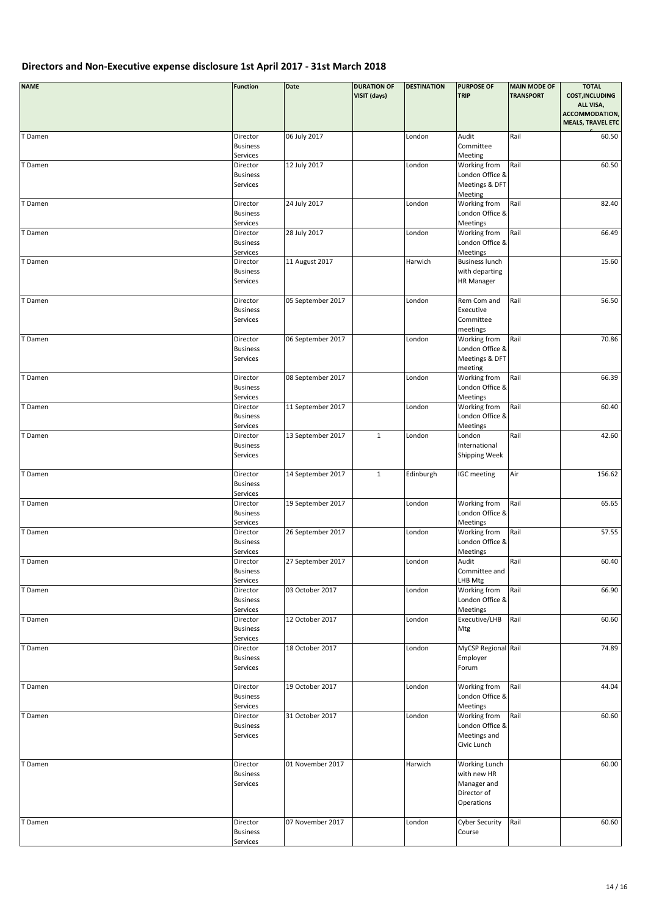| <b>NAME</b> | <b>Function</b>                                     | <b>Date</b>       | <b>DURATION OF</b><br>VISIT (days) | <b>DESTINATION</b> | <b>PURPOSE OF</b><br><b>TRIP</b>                                                | <b>MAIN MODE OF</b><br><b>TRANSPORT</b> | <b>TOTAL</b><br><b>COST, INCLUDING</b><br>ALL VISA,<br>ACCOMMODATION,<br><b>MEALS, TRAVEL ETC</b> |
|-------------|-----------------------------------------------------|-------------------|------------------------------------|--------------------|---------------------------------------------------------------------------------|-----------------------------------------|---------------------------------------------------------------------------------------------------|
| T Damen     | Director<br><b>Business</b><br>Services             | 06 July 2017      |                                    | London             | Audit<br>Committee<br>Meeting                                                   | Rail                                    | 60.50                                                                                             |
| T Damen     | Director<br><b>Business</b><br>Services             | 12 July 2017      |                                    | London             | Working from<br>London Office &<br>Meetings & DFT                               | Rail                                    | 60.50                                                                                             |
| T Damen     | Director<br><b>Business</b>                         | 24 July 2017      |                                    | London             | Meeting<br>Working from<br>London Office &                                      | Rail                                    | 82.40                                                                                             |
| T Damen     | Services<br>Director<br><b>Business</b>             | 28 July 2017      |                                    | London             | Meetings<br>Working from<br>London Office &                                     | Rail                                    | 66.49                                                                                             |
| T Damen     | Services<br>Director<br><b>Business</b><br>Services | 11 August 2017    |                                    | Harwich            | Meetings<br><b>Business lunch</b><br>with departing<br><b>HR Manager</b>        |                                         | 15.60                                                                                             |
| T Damen     | Director<br><b>Business</b><br>Services             | 05 September 2017 |                                    | London             | Rem Com and<br>Executive<br>Committee<br>meetings                               | Rail                                    | 56.50                                                                                             |
| T Damen     | Director<br><b>Business</b><br>Services             | 06 September 2017 |                                    | London             | Working from<br>London Office &<br>Meetings & DFT<br>meeting                    | Rail                                    | 70.86                                                                                             |
| T Damen     | Director<br><b>Business</b><br>Services             | 08 September 2017 |                                    | London             | Working from<br>London Office &<br>Meetings                                     | Rail                                    | 66.39                                                                                             |
| T Damen     | Director<br><b>Business</b><br>Services             | 11 September 2017 |                                    | London             | Working from<br>London Office &<br>Meetings                                     | Rail                                    | 60.40                                                                                             |
| T Damen     | Director<br><b>Business</b><br>Services             | 13 September 2017 | $\mathbf 1$                        | London             | London<br>International<br>Shipping Week                                        | Rail                                    | 42.60                                                                                             |
| T Damen     | Director<br><b>Business</b><br>Services             | 14 September 2017 | $\mathbf{1}$                       | Edinburgh          | IGC meeting                                                                     | Air                                     | 156.62                                                                                            |
| T Damen     | Director<br><b>Business</b><br>Services             | 19 September 2017 |                                    | London             | Working from<br>London Office &<br>Meetings                                     | Rail                                    | 65.65                                                                                             |
| T Damen     | Director<br><b>Business</b><br>Services             | 26 September 2017 |                                    | London             | Working from<br>London Office &<br>Meetings                                     | Rail                                    | 57.55                                                                                             |
| T Damen     | Director<br><b>Business</b><br>Services             | 27 September 2017 |                                    | London             | Audit<br>Committee and<br>LHB Mtg                                               | Rail                                    | 60.40                                                                                             |
| T Damen     | Director<br><b>Business</b><br>Services             | 03 October 2017   |                                    | London             | Working from<br>London Office &<br>Meetings                                     | Rail                                    | 66.90                                                                                             |
| T Damen     | Director<br><b>Business</b><br>Services             | 12 October 2017   |                                    | London             | Executive/LHB<br>Mtg                                                            | Rail                                    | 60.60                                                                                             |
| T Damen     | Director<br><b>Business</b><br>Services             | 18 October 2017   |                                    | London             | MyCSP Regional Rail<br>Employer<br>Forum                                        |                                         | 74.89                                                                                             |
| T Damen     | Director<br><b>Business</b><br>Services             | 19 October 2017   |                                    | London             | Working from<br>London Office &<br>Meetings                                     | Rail                                    | 44.04                                                                                             |
| T Damen     | Director<br><b>Business</b><br>Services             | 31 October 2017   |                                    | London             | Working from<br>London Office &<br>Meetings and<br>Civic Lunch                  | Rail                                    | 60.60                                                                                             |
| T Damen     | Director<br><b>Business</b><br>Services             | 01 November 2017  |                                    | Harwich            | <b>Working Lunch</b><br>with new HR<br>Manager and<br>Director of<br>Operations |                                         | 60.00                                                                                             |
| T Damen     | Director<br><b>Business</b><br>Services             | 07 November 2017  |                                    | London             | <b>Cyber Security</b><br>Course                                                 | Rail                                    | 60.60                                                                                             |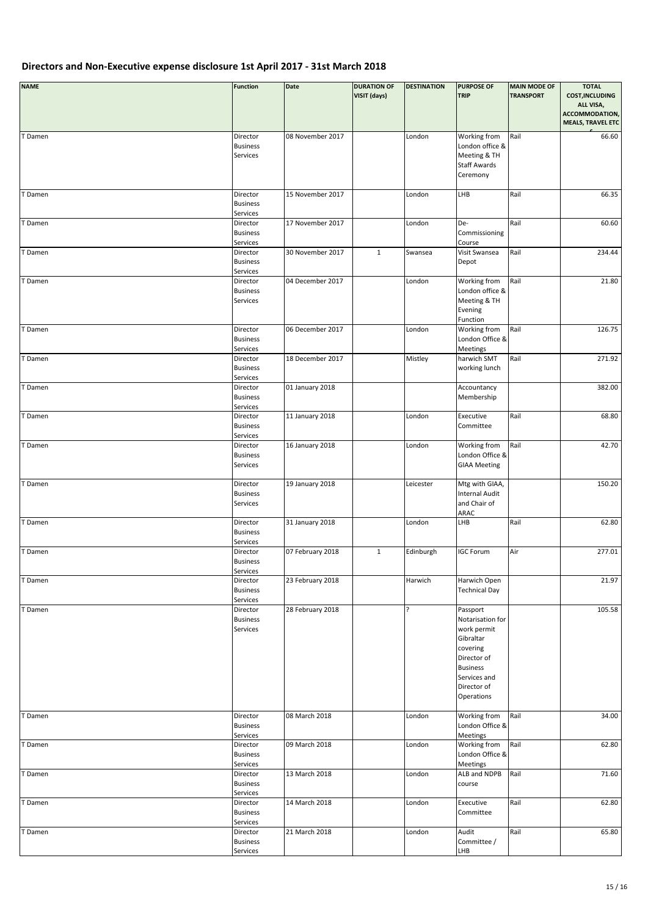| <b>NAME</b> | <b>Function</b>                         | Date             | <b>DURATION OF</b><br>VISIT (days) | <b>DESTINATION</b> | <b>PURPOSE OF</b><br><b>TRIP</b>                                                                                                                    | <b>MAIN MODE OF</b><br><b>TRANSPORT</b> | <b>TOTAL</b><br><b>COST, INCLUDING</b><br>ALL VISA,<br>ACCOMMODATION,<br><b>MEALS, TRAVEL ETC</b> |
|-------------|-----------------------------------------|------------------|------------------------------------|--------------------|-----------------------------------------------------------------------------------------------------------------------------------------------------|-----------------------------------------|---------------------------------------------------------------------------------------------------|
| T Damen     | Director<br><b>Business</b><br>Services | 08 November 2017 |                                    | London             | Working from<br>London office &<br>Meeting & TH<br>Staff Awards<br>Ceremony                                                                         | Rail                                    | 66.60                                                                                             |
| T Damen     | Director<br><b>Business</b><br>Services | 15 November 2017 |                                    | London             | LHB                                                                                                                                                 | Rail                                    | 66.35                                                                                             |
| T Damen     | Director<br><b>Business</b><br>Services | 17 November 2017 |                                    | London             | De-<br>Commissioning<br>Course                                                                                                                      | Rail                                    | 60.60                                                                                             |
| T Damen     | Director<br><b>Business</b><br>Services | 30 November 2017 | $\mathbf{1}$                       | Swansea            | Visit Swansea<br>Depot                                                                                                                              | Rail                                    | 234.44                                                                                            |
| T Damen     | Director<br><b>Business</b><br>Services | 04 December 2017 |                                    | London             | Working from<br>London office &<br>Meeting & TH<br>Evening<br>Function                                                                              | Rail                                    | 21.80                                                                                             |
| T Damen     | Director<br><b>Business</b><br>Services | 06 December 2017 |                                    | London             | Working from<br>London Office &<br>Meetings                                                                                                         | Rail                                    | 126.75                                                                                            |
| T Damen     | Director<br><b>Business</b><br>Services | 18 December 2017 |                                    | Mistley            | harwich SMT<br>working lunch                                                                                                                        | Rail                                    | 271.92                                                                                            |
| T Damen     | Director<br><b>Business</b><br>Services | 01 January 2018  |                                    |                    | Accountancy<br>Membership                                                                                                                           |                                         | 382.00                                                                                            |
| T Damen     | Director<br><b>Business</b><br>Services | 11 January 2018  |                                    | London             | Executive<br>Committee                                                                                                                              | Rail                                    | 68.80                                                                                             |
| T Damen     | Director<br><b>Business</b><br>Services | 16 January 2018  |                                    | London             | Working from<br>London Office &<br><b>GIAA Meeting</b>                                                                                              | Rail                                    | 42.70                                                                                             |
| T Damen     | Director<br><b>Business</b><br>Services | 19 January 2018  |                                    | Leicester          | Mtg with GIAA,<br><b>Internal Audit</b><br>and Chair of<br>ARAC                                                                                     |                                         | 150.20                                                                                            |
| T Damen     | Director<br><b>Business</b><br>Services | 31 January 2018  |                                    | London             | LHB                                                                                                                                                 | Rail                                    | 62.80                                                                                             |
| T Damen     | Director<br><b>Business</b><br>Services | 07 February 2018 | $\mathbf{1}$                       | Edinburgh          | <b>IGC Forum</b>                                                                                                                                    | Air                                     | 277.01                                                                                            |
| T Damen     | Director<br><b>Business</b><br>Services | 23 February 2018 |                                    | Harwich            | Harwich Open<br><b>Technical Day</b>                                                                                                                |                                         | 21.97                                                                                             |
| T Damen     | Director<br><b>Business</b><br>Services | 28 February 2018 |                                    | Ċ.                 | Passport<br>Notarisation for<br>work permit<br>Gibraltar<br>covering<br>Director of<br><b>Business</b><br>Services and<br>Director of<br>Operations |                                         | 105.58                                                                                            |
| T Damen     | Director<br><b>Business</b><br>Services | 08 March 2018    |                                    | London             | Working from<br>London Office &<br>Meetings                                                                                                         | Rail                                    | 34.00                                                                                             |
| T Damen     | Director<br><b>Business</b><br>Services | 09 March 2018    |                                    | London             | Working from<br>London Office &<br>Meetings                                                                                                         | Rail                                    | 62.80                                                                                             |
| T Damen     | Director<br><b>Business</b><br>Services | 13 March 2018    |                                    | London             | ALB and NDPB<br>course                                                                                                                              | Rail                                    | 71.60                                                                                             |
| T Damen     | Director<br><b>Business</b><br>Services | 14 March 2018    |                                    | London             | Executive<br>Committee                                                                                                                              | Rail                                    | 62.80                                                                                             |
| T Damen     | Director<br><b>Business</b><br>Services | 21 March 2018    |                                    | London             | Audit<br>Committee /<br>LHB                                                                                                                         | Rail                                    | 65.80                                                                                             |